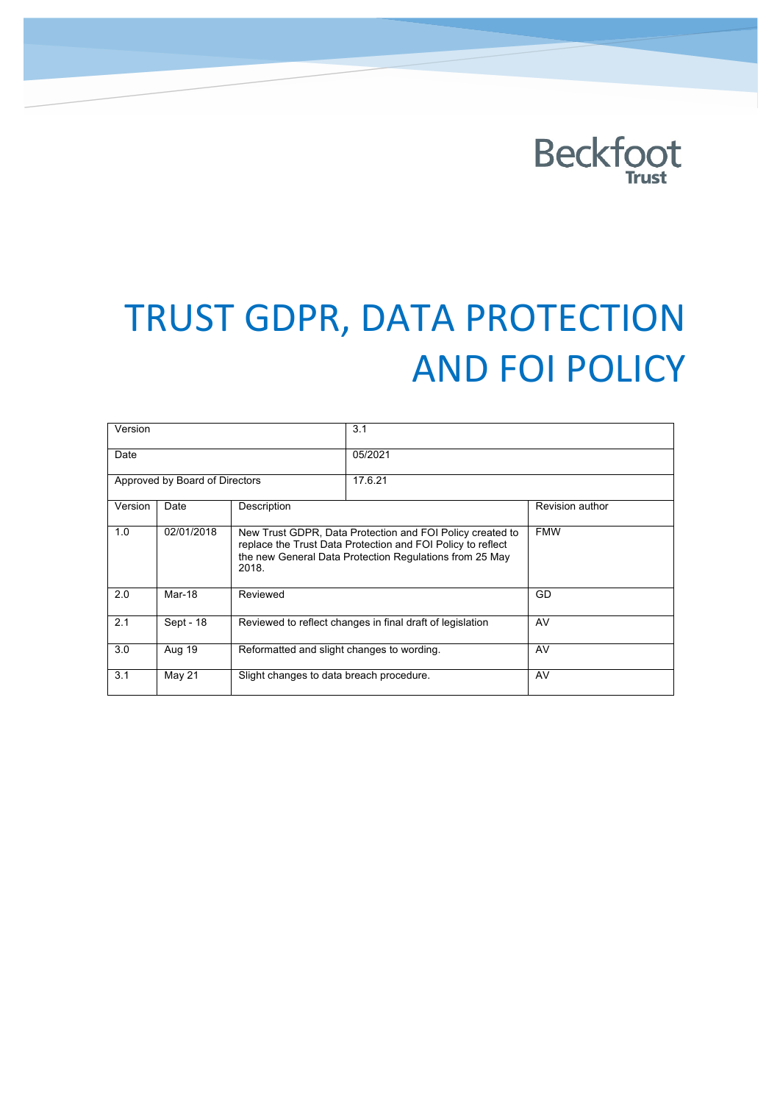# **Beckfoot**

# TRUST GDPR, DATA PROTECTION **AND FOI POLICY**

| Version                        |            |                                                                                                                                                                                              | 3.1     |                 |
|--------------------------------|------------|----------------------------------------------------------------------------------------------------------------------------------------------------------------------------------------------|---------|-----------------|
| Date                           |            |                                                                                                                                                                                              | 05/2021 |                 |
| Approved by Board of Directors |            |                                                                                                                                                                                              | 17.6.21 |                 |
| Version                        | Date       | Description                                                                                                                                                                                  |         | Revision author |
| 1.0                            | 02/01/2018 | New Trust GDPR, Data Protection and FOI Policy created to<br>replace the Trust Data Protection and FOI Policy to reflect<br>the new General Data Protection Regulations from 25 May<br>2018. |         | <b>FMW</b>      |
| 2.0                            | Mar-18     | Reviewed                                                                                                                                                                                     |         | GD              |
| 2.1                            | Sept - 18  | Reviewed to reflect changes in final draft of legislation                                                                                                                                    |         | AV              |
| 3.0                            | Aug 19     | Reformatted and slight changes to wording.                                                                                                                                                   |         | AV              |
| 3.1                            | May 21     | Slight changes to data breach procedure.                                                                                                                                                     |         | AV              |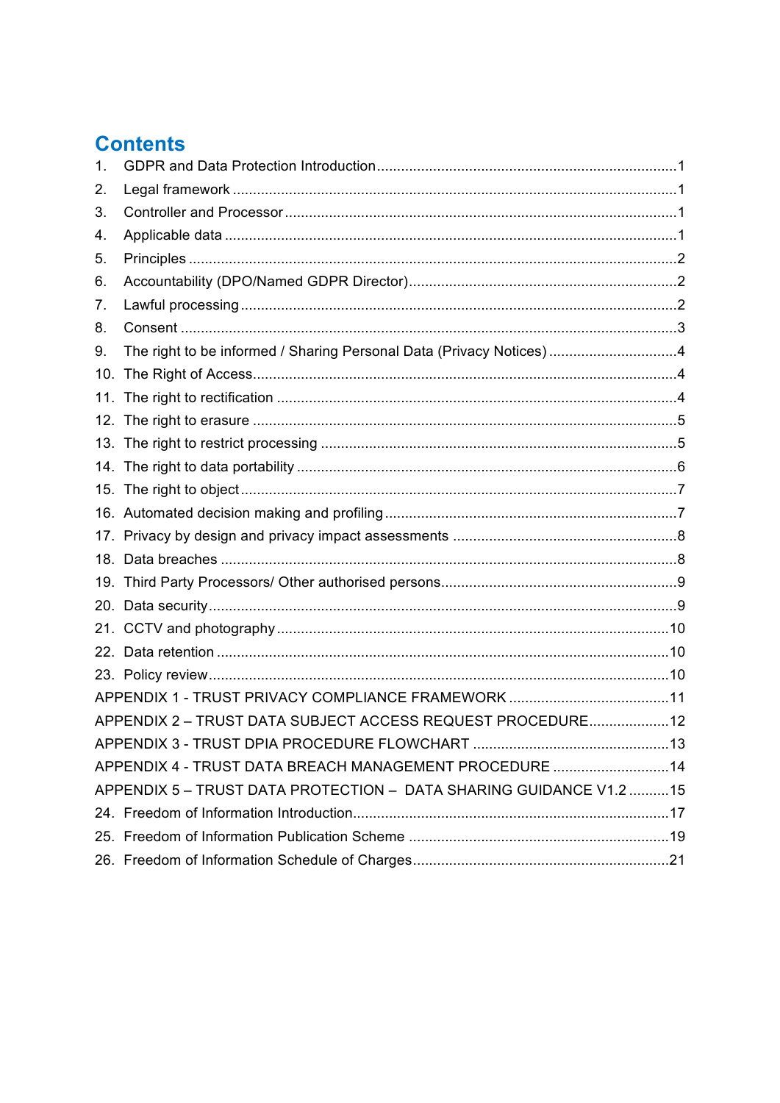### **Contents**

| 1.  |                                                                     |  |
|-----|---------------------------------------------------------------------|--|
| 2.  |                                                                     |  |
| 3.  |                                                                     |  |
| 4.  |                                                                     |  |
| 5.  |                                                                     |  |
| 6.  |                                                                     |  |
| 7.  |                                                                     |  |
| 8.  |                                                                     |  |
| 9.  | The right to be informed / Sharing Personal Data (Privacy Notices)4 |  |
| 10. |                                                                     |  |
|     |                                                                     |  |
|     |                                                                     |  |
|     |                                                                     |  |
|     |                                                                     |  |
|     |                                                                     |  |
|     |                                                                     |  |
|     |                                                                     |  |
|     |                                                                     |  |
|     |                                                                     |  |
|     |                                                                     |  |
|     |                                                                     |  |
|     |                                                                     |  |
|     |                                                                     |  |
|     |                                                                     |  |
|     | APPENDIX 2 - TRUST DATA SUBJECT ACCESS REQUEST PROCEDURE 12         |  |
|     |                                                                     |  |
|     | APPENDIX 4 - TRUST DATA BREACH MANAGEMENT PROCEDURE 14              |  |
|     | APPENDIX 5 - TRUST DATA PROTECTION - DATA SHARING GUIDANCE V1.2 15  |  |
|     |                                                                     |  |
|     |                                                                     |  |
|     |                                                                     |  |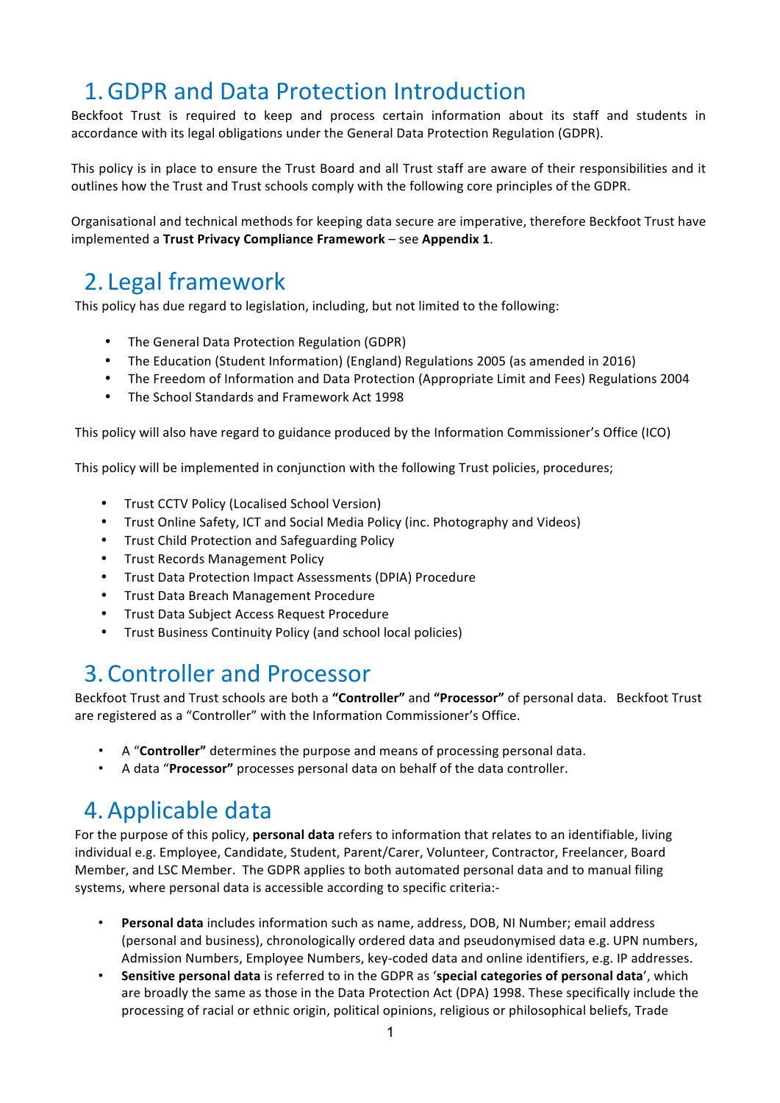## 1. GDPR and Data Protection Introduction

Beckfoot Trust is required to keep and process certain information about its staff and students in accordance with its legal obligations under the General Data Protection Regulation (GDPR).

This policy is in place to ensure the Trust Board and all Trust staff are aware of their responsibilities and it outlines how the Trust and Trust schools comply with the following core principles of the GDPR.

Organisational and technical methods for keeping data secure are imperative, therefore Beckfoot Trust have implemented a Trust Privacy Compliance Framework – see Appendix 1.

### 2. Legal framework

This policy has due regard to legislation, including, but not limited to the following:

- The General Data Protection Regulation (GDPR)
- The Education (Student Information) (England) Regulations 2005 (as amended in 2016)
- The Freedom of Information and Data Protection (Appropriate Limit and Fees) Regulations 2004
- The School Standards and Framework Act 1998

This policy will also have regard to guidance produced by the Information Commissioner's Office (ICO)

This policy will be implemented in conjunction with the following Trust policies, procedures;

- Trust CCTV Policy (Localised School Version)
- Trust Online Safety, ICT and Social Media Policy (inc. Photography and Videos)
- Trust Child Protection and Safeguarding Policy
- Trust Records Management Policy
- Trust Data Protection Impact Assessments (DPIA) Procedure
- Trust Data Breach Management Procedure
- Trust Data Subject Access Request Procedure
- Trust Business Continuity Policy (and school local policies)

### 3. Controller and Processor

Beckfoot Trust and Trust schools are both a "Controller" and "Processor" of personal data. Beckfoot Trust are registered as a "Controller" with the Information Commissioner's Office.

- A "**Controller**" determines the purpose and means of processing personal data.
- A data "Processor" processes personal data on behalf of the data controller.

### 4. Applicable data

For the purpose of this policy, *personal data* refers to information that relates to an identifiable, living individual e.g. Employee, Candidate, Student, Parent/Carer, Volunteer, Contractor, Freelancer, Board Member, and LSC Member. The GDPR applies to both automated personal data and to manual filing systems, where personal data is accessible according to specific criteria:-

- **Personal data** includes information such as name, address, DOB, NI Number; email address (personal and business), chronologically ordered data and pseudonymised data e.g. UPN numbers, Admission Numbers, Employee Numbers, key-coded data and online identifiers, e.g. IP addresses.
- Sensitive personal data is referred to in the GDPR as 'special categories of personal data', which are broadly the same as those in the Data Protection Act (DPA) 1998. These specifically include the processing of racial or ethnic origin, political opinions, religious or philosophical beliefs, Trade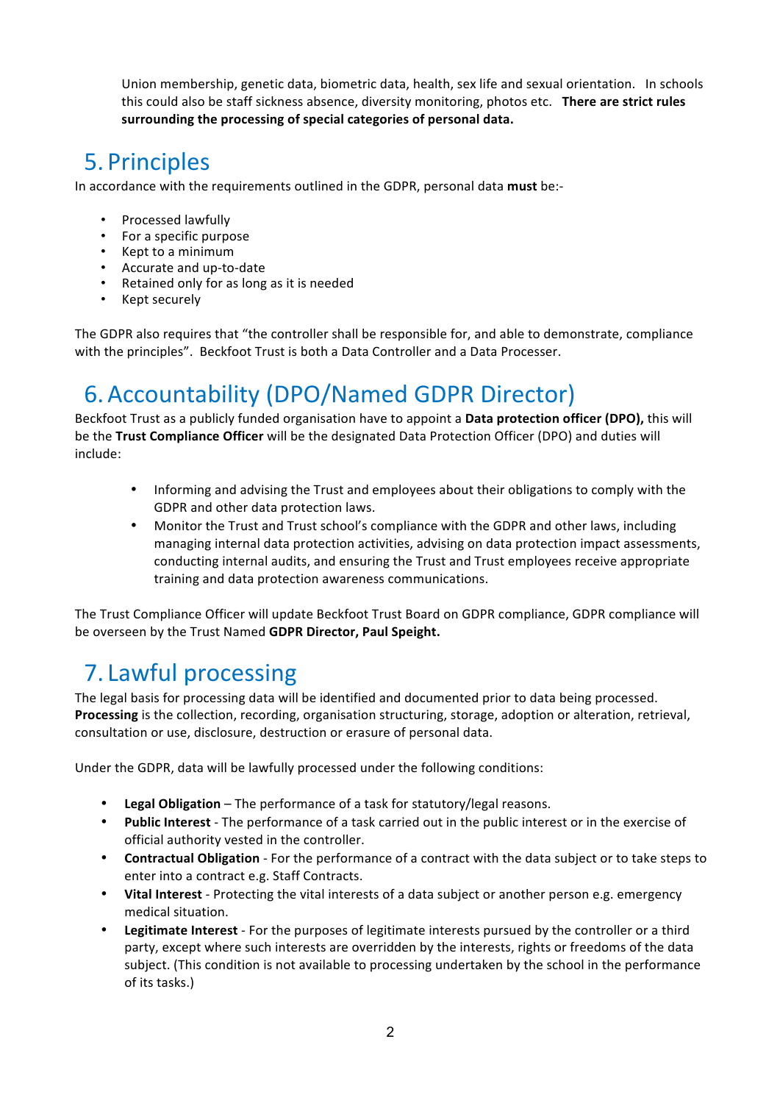Union membership, genetic data, biometric data, health, sex life and sexual orientation. In schools this could also be staff sickness absence, diversity monitoring, photos etc. There are strict rules surrounding the processing of special categories of personal data.

# 5. Principles

In accordance with the requirements outlined in the GDPR, personal data must be:-

- Processed lawfully
- For a specific purpose
- Kept to a minimum
- Accurate and up-to-date
- Retained only for as long as it is needed
- Kept securely

The GDPR also requires that "the controller shall be responsible for, and able to demonstrate, compliance with the principles". Beckfoot Trust is both a Data Controller and a Data Processer.

# 6.Accountability (DPO/Named GDPR Director)

Beckfoot Trust as a publicly funded organisation have to appoint a **Data protection officer (DPO)**, this will be the Trust Compliance Officer will be the designated Data Protection Officer (DPO) and duties will include:

- Informing and advising the Trust and employees about their obligations to comply with the GDPR and other data protection laws.
- Monitor the Trust and Trust school's compliance with the GDPR and other laws, including managing internal data protection activities, advising on data protection impact assessments, conducting internal audits, and ensuring the Trust and Trust employees receive appropriate training and data protection awareness communications.

The Trust Compliance Officer will update Beckfoot Trust Board on GDPR compliance, GDPR compliance will be overseen by the Trust Named GDPR Director, Paul Speight.

# 7. Lawful processing

The legal basis for processing data will be identified and documented prior to data being processed. **Processing** is the collection, recording, organisation structuring, storage, adoption or alteration, retrieval, consultation or use, disclosure, destruction or erasure of personal data.

Under the GDPR, data will be lawfully processed under the following conditions:

- Legal Obligation The performance of a task for statutory/legal reasons.
- Public Interest The performance of a task carried out in the public interest or in the exercise of official authority vested in the controller.
- **Contractual Obligation** For the performance of a contract with the data subject or to take steps to enter into a contract e.g. Staff Contracts.
- Vital Interest Protecting the vital interests of a data subject or another person e.g. emergency medical situation.
- **Legitimate Interest** For the purposes of legitimate interests pursued by the controller or a third party, except where such interests are overridden by the interests, rights or freedoms of the data subject. (This condition is not available to processing undertaken by the school in the performance of its tasks.)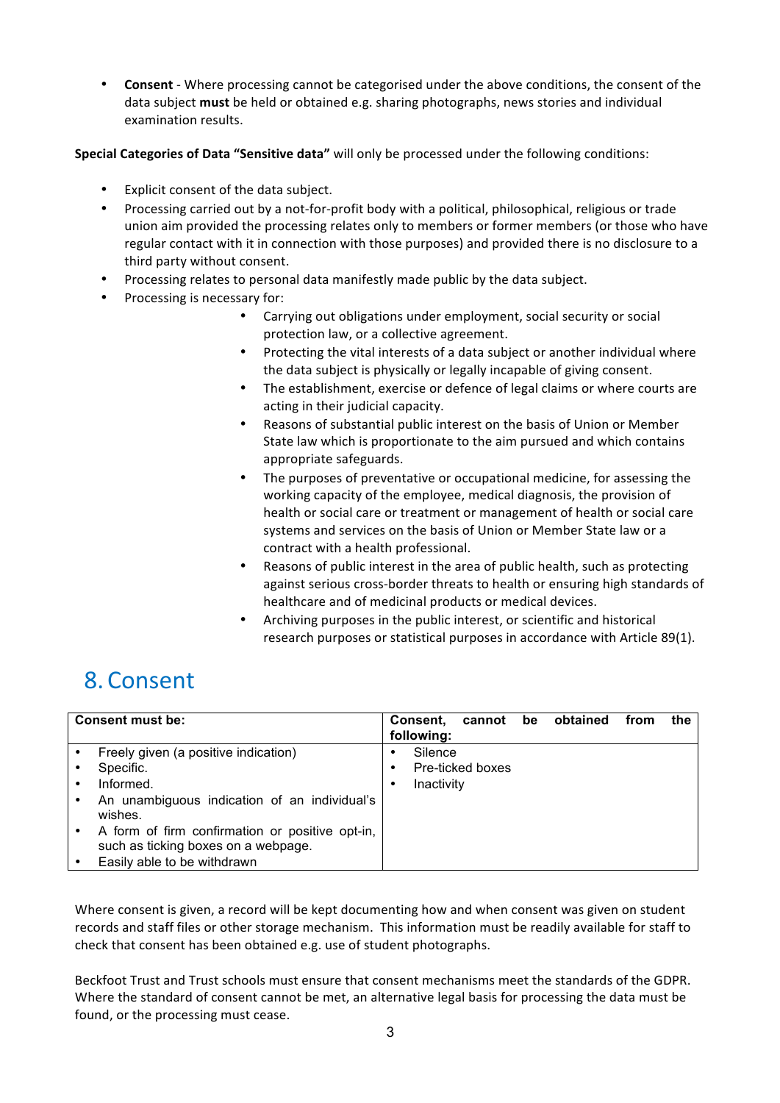**Consent** - Where processing cannot be categorised under the above conditions, the consent of the data subject **must** be held or obtained e.g. sharing photographs, news stories and individual examination results.

**Special Categories of Data "Sensitive data"** will only be processed under the following conditions:

- Explicit consent of the data subject.
- Processing carried out by a not-for-profit body with a political, philosophical, religious or trade union aim provided the processing relates only to members or former members (or those who have regular contact with it in connection with those purposes) and provided there is no disclosure to a third party without consent.
- Processing relates to personal data manifestly made public by the data subject.
- Processing is necessary for:
	- Carrying out obligations under employment, social security or social protection law, or a collective agreement.
	- Protecting the vital interests of a data subject or another individual where the data subject is physically or legally incapable of giving consent.
	- The establishment, exercise or defence of legal claims or where courts are acting in their judicial capacity.
	- Reasons of substantial public interest on the basis of Union or Member State law which is proportionate to the aim pursued and which contains appropriate safeguards.
	- The purposes of preventative or occupational medicine, for assessing the working capacity of the employee, medical diagnosis, the provision of health or social care or treatment or management of health or social care systems and services on the basis of Union or Member State law or a contract with a health professional.
	- Reasons of public interest in the area of public health, such as protecting against serious cross-border threats to health or ensuring high standards of healthcare and of medicinal products or medical devices.
	- Archiving purposes in the public interest, or scientific and historical research purposes or statistical purposes in accordance with Article 89(1).

### 8. Consent

| Consent must be:                                                                                                                                                                                                                                   | cannot be obtained<br>Consent,<br>the<br>from<br>following: |
|----------------------------------------------------------------------------------------------------------------------------------------------------------------------------------------------------------------------------------------------------|-------------------------------------------------------------|
| Freely given (a positive indication)<br>Specific.<br>Informed.<br>An unambiguous indication of an individual's<br>wishes.<br>A form of firm confirmation or positive opt-in,<br>such as ticking boxes on a webpage.<br>Easily able to be withdrawn | Silence<br>Pre-ticked boxes<br>٠<br>Inactivity<br>٠         |

Where consent is given, a record will be kept documenting how and when consent was given on student records and staff files or other storage mechanism. This information must be readily available for staff to check that consent has been obtained e.g. use of student photographs.

Beckfoot Trust and Trust schools must ensure that consent mechanisms meet the standards of the GDPR. Where the standard of consent cannot be met, an alternative legal basis for processing the data must be found, or the processing must cease.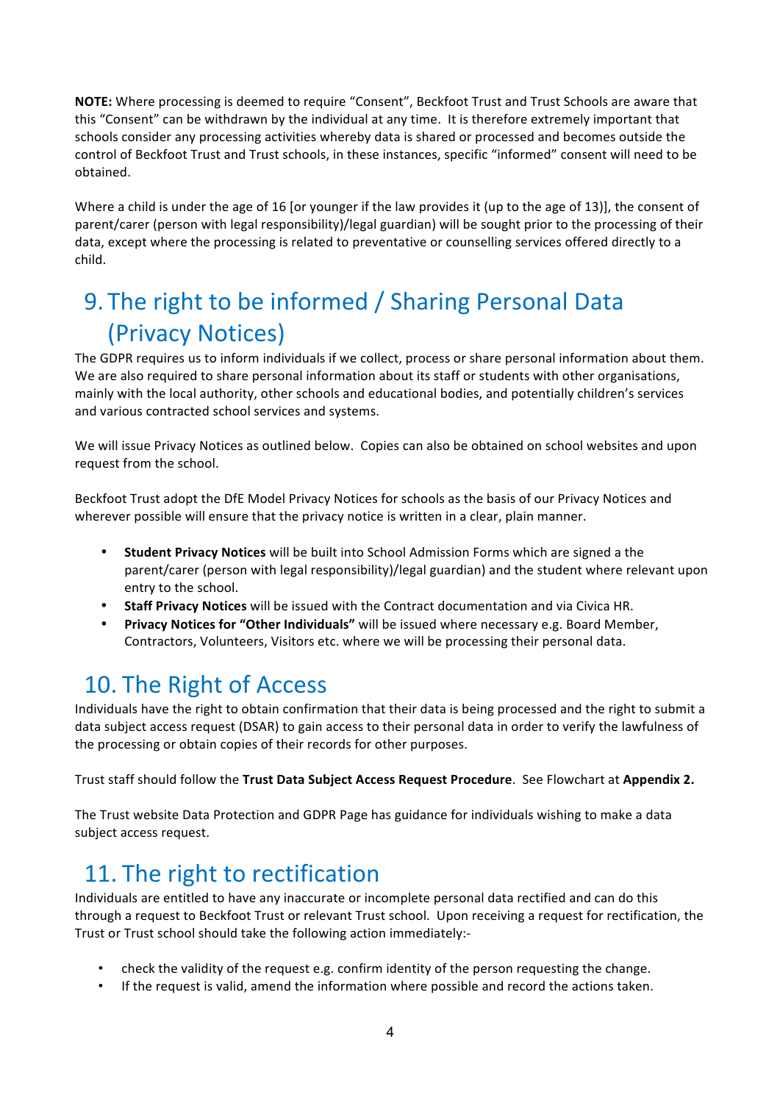**NOTE:** Where processing is deemed to require "Consent", Beckfoot Trust and Trust Schools are aware that this "Consent" can be withdrawn by the individual at any time. It is therefore extremely important that schools consider any processing activities whereby data is shared or processed and becomes outside the control of Beckfoot Trust and Trust schools, in these instances, specific "informed" consent will need to be obtained.

Where a child is under the age of 16 [or younger if the law provides it (up to the age of 13)], the consent of parent/carer (person with legal responsibility)/legal guardian) will be sought prior to the processing of their data, except where the processing is related to preventative or counselling services offered directly to a child.

# 9. The right to be informed / Sharing Personal Data (Privacy Notices)

The GDPR requires us to inform individuals if we collect, process or share personal information about them. We are also required to share personal information about its staff or students with other organisations, mainly with the local authority, other schools and educational bodies, and potentially children's services and various contracted school services and systems.

We will issue Privacy Notices as outlined below. Copies can also be obtained on school websites and upon request from the school.

Beckfoot Trust adopt the DfE Model Privacy Notices for schools as the basis of our Privacy Notices and wherever possible will ensure that the privacy notice is written in a clear, plain manner.

- **Student Privacy Notices** will be built into School Admission Forms which are signed a the parent/carer (person with legal responsibility)/legal guardian) and the student where relevant upon entry to the school.
- **Staff Privacy Notices** will be issued with the Contract documentation and via Civica HR.
- **Privacy Notices for "Other Individuals"** will be issued where necessary e.g. Board Member, Contractors, Volunteers, Visitors etc. where we will be processing their personal data.

# 10. The Right of Access

Individuals have the right to obtain confirmation that their data is being processed and the right to submit a data subject access request (DSAR) to gain access to their personal data in order to verify the lawfulness of the processing or obtain copies of their records for other purposes.

Trust staff should follow the Trust Data Subject Access Request Procedure. See Flowchart at Appendix 2.

The Trust website Data Protection and GDPR Page has guidance for individuals wishing to make a data subject access request.

# 11. The right to rectification

Individuals are entitled to have any inaccurate or incomplete personal data rectified and can do this through a request to Beckfoot Trust or relevant Trust school. Upon receiving a request for rectification, the Trust or Trust school should take the following action immediately:-

- check the validity of the request e.g. confirm identity of the person requesting the change.
- If the request is valid, amend the information where possible and record the actions taken.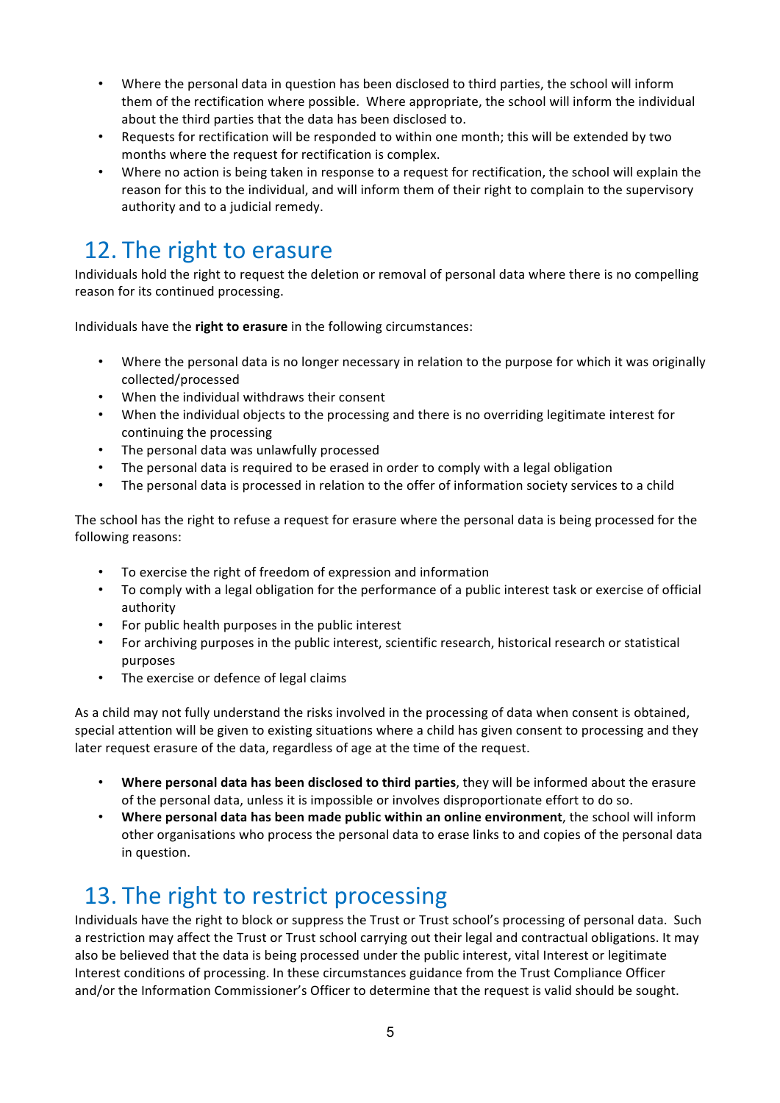- Where the personal data in question has been disclosed to third parties, the school will inform them of the rectification where possible. Where appropriate, the school will inform the individual about the third parties that the data has been disclosed to.
- Requests for rectification will be responded to within one month; this will be extended by two months where the request for rectification is complex.
- Where no action is being taken in response to a request for rectification, the school will explain the reason for this to the individual, and will inform them of their right to complain to the supervisory authority and to a judicial remedy.

# 12. The right to erasure

Individuals hold the right to request the deletion or removal of personal data where there is no compelling reason for its continued processing.

Individuals have the **right to erasure** in the following circumstances:

- Where the personal data is no longer necessary in relation to the purpose for which it was originally collected/processed
- When the individual withdraws their consent
- When the individual objects to the processing and there is no overriding legitimate interest for continuing the processing
- The personal data was unlawfully processed
- The personal data is required to be erased in order to comply with a legal obligation
- The personal data is processed in relation to the offer of information society services to a child

The school has the right to refuse a request for erasure where the personal data is being processed for the following reasons:

- To exercise the right of freedom of expression and information
- To comply with a legal obligation for the performance of a public interest task or exercise of official authority
- For public health purposes in the public interest
- For archiving purposes in the public interest, scientific research, historical research or statistical purposes
- The exercise or defence of legal claims

As a child may not fully understand the risks involved in the processing of data when consent is obtained, special attention will be given to existing situations where a child has given consent to processing and they later request erasure of the data, regardless of age at the time of the request.

- Where personal data has been disclosed to third parties, they will be informed about the erasure of the personal data, unless it is impossible or involves disproportionate effort to do so.
- Where personal data has been made public within an online environment, the school will inform other organisations who process the personal data to erase links to and copies of the personal data in question.

### 13. The right to restrict processing

Individuals have the right to block or suppress the Trust or Trust school's processing of personal data. Such a restriction may affect the Trust or Trust school carrying out their legal and contractual obligations. It may also be believed that the data is being processed under the public interest, vital Interest or legitimate Interest conditions of processing. In these circumstances guidance from the Trust Compliance Officer and/or the Information Commissioner's Officer to determine that the request is valid should be sought.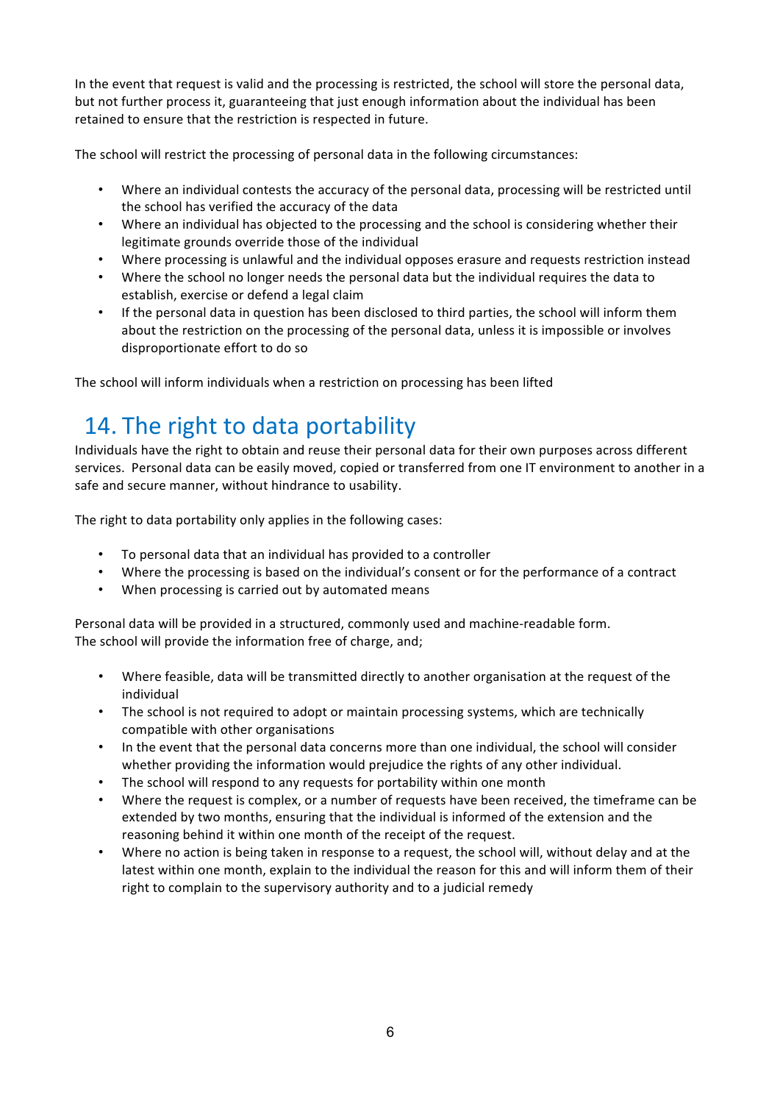In the event that request is valid and the processing is restricted, the school will store the personal data, but not further process it, guaranteeing that just enough information about the individual has been retained to ensure that the restriction is respected in future.

The school will restrict the processing of personal data in the following circumstances:

- Where an individual contests the accuracy of the personal data, processing will be restricted until the school has verified the accuracy of the data
- Where an individual has objected to the processing and the school is considering whether their legitimate grounds override those of the individual
- Where processing is unlawful and the individual opposes erasure and requests restriction instead
- Where the school no longer needs the personal data but the individual requires the data to establish, exercise or defend a legal claim
- If the personal data in question has been disclosed to third parties, the school will inform them about the restriction on the processing of the personal data, unless it is impossible or involves disproportionate effort to do so

The school will inform individuals when a restriction on processing has been lifted

## 14. The right to data portability

Individuals have the right to obtain and reuse their personal data for their own purposes across different services. Personal data can be easily moved, copied or transferred from one IT environment to another in a safe and secure manner, without hindrance to usability.

The right to data portability only applies in the following cases:

- To personal data that an individual has provided to a controller
- Where the processing is based on the individual's consent or for the performance of a contract
- When processing is carried out by automated means

Personal data will be provided in a structured, commonly used and machine-readable form. The school will provide the information free of charge, and;

- Where feasible, data will be transmitted directly to another organisation at the request of the individual
- The school is not required to adopt or maintain processing systems, which are technically compatible with other organisations
- In the event that the personal data concerns more than one individual, the school will consider whether providing the information would prejudice the rights of any other individual.
- The school will respond to any requests for portability within one month
- Where the request is complex, or a number of requests have been received, the timeframe can be extended by two months, ensuring that the individual is informed of the extension and the reasoning behind it within one month of the receipt of the request.
- Where no action is being taken in response to a request, the school will, without delay and at the latest within one month, explain to the individual the reason for this and will inform them of their right to complain to the supervisory authority and to a judicial remedy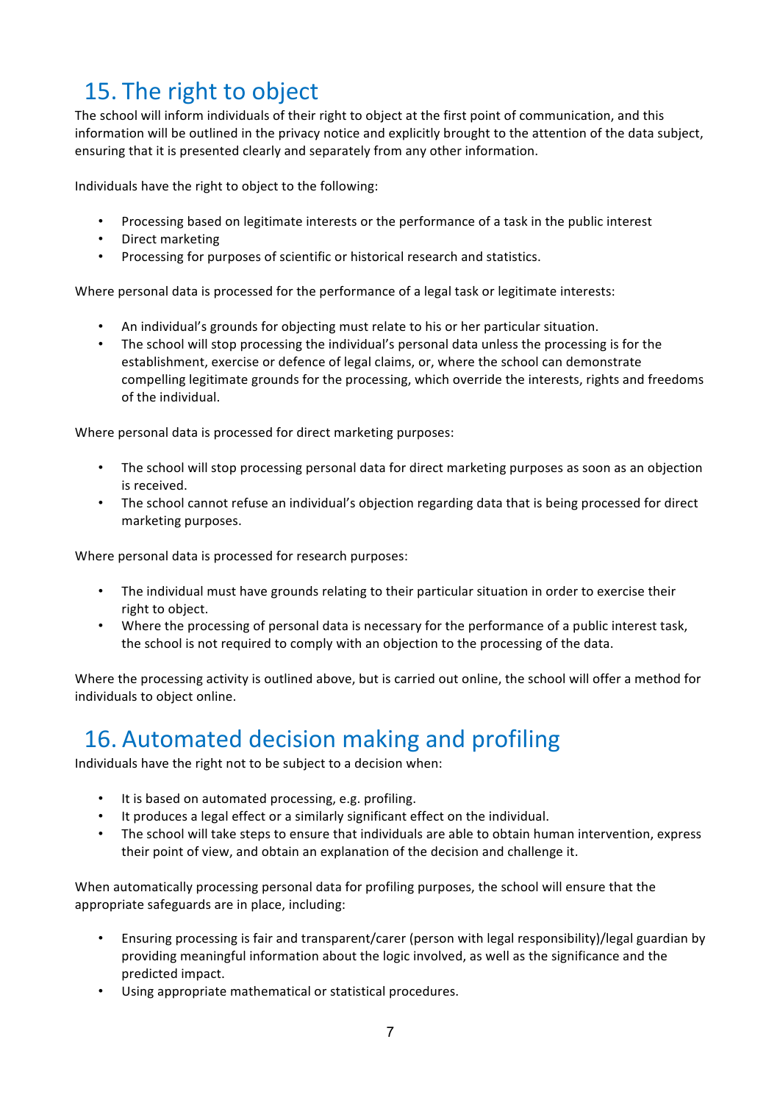# 15. The right to object

The school will inform individuals of their right to object at the first point of communication, and this information will be outlined in the privacy notice and explicitly brought to the attention of the data subject, ensuring that it is presented clearly and separately from any other information.

Individuals have the right to object to the following:

- Processing based on legitimate interests or the performance of a task in the public interest
- Direct marketing
- Processing for purposes of scientific or historical research and statistics.

Where personal data is processed for the performance of a legal task or legitimate interests:

- An individual's grounds for objecting must relate to his or her particular situation.
- The school will stop processing the individual's personal data unless the processing is for the establishment, exercise or defence of legal claims, or, where the school can demonstrate compelling legitimate grounds for the processing, which override the interests, rights and freedoms of the individual.

Where personal data is processed for direct marketing purposes:

- The school will stop processing personal data for direct marketing purposes as soon as an objection is received.
- The school cannot refuse an individual's objection regarding data that is being processed for direct marketing purposes.

Where personal data is processed for research purposes:

- The individual must have grounds relating to their particular situation in order to exercise their right to object.
- Where the processing of personal data is necessary for the performance of a public interest task, the school is not required to comply with an objection to the processing of the data.

Where the processing activity is outlined above, but is carried out online, the school will offer a method for individuals to object online.

# 16. Automated decision making and profiling

Individuals have the right not to be subject to a decision when:

- It is based on automated processing, e.g. profiling.
- It produces a legal effect or a similarly significant effect on the individual.
- The school will take steps to ensure that individuals are able to obtain human intervention, express their point of view, and obtain an explanation of the decision and challenge it.

When automatically processing personal data for profiling purposes, the school will ensure that the appropriate safeguards are in place, including:

- Ensuring processing is fair and transparent/carer (person with legal responsibility)/legal guardian by providing meaningful information about the logic involved, as well as the significance and the predicted impact.
- Using appropriate mathematical or statistical procedures.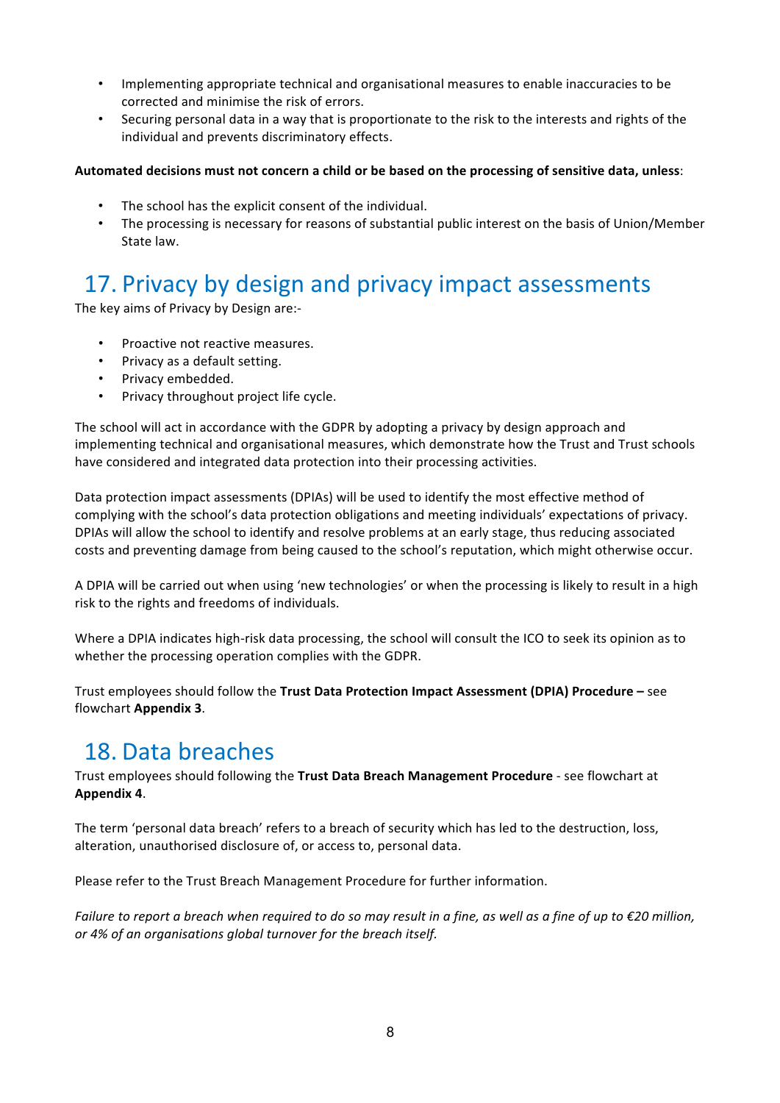- Implementing appropriate technical and organisational measures to enable inaccuracies to be corrected and minimise the risk of errors.
- Securing personal data in a way that is proportionate to the risk to the interests and rights of the individual and prevents discriminatory effects.

### Automated decisions must not concern a child or be based on the processing of sensitive data, unless:

- The school has the explicit consent of the individual.
- The processing is necessary for reasons of substantial public interest on the basis of Union/Member State law.

# 17. Privacy by design and privacy impact assessments

The key aims of Privacy by Design are:-

- Proactive not reactive measures.
- Privacy as a default setting.
- Privacy embedded.
- Privacy throughout project life cycle.

The school will act in accordance with the GDPR by adopting a privacy by design approach and implementing technical and organisational measures, which demonstrate how the Trust and Trust schools have considered and integrated data protection into their processing activities.

Data protection impact assessments (DPIAs) will be used to identify the most effective method of complying with the school's data protection obligations and meeting individuals' expectations of privacy. DPIAs will allow the school to identify and resolve problems at an early stage, thus reducing associated costs and preventing damage from being caused to the school's reputation, which might otherwise occur.

A DPIA will be carried out when using 'new technologies' or when the processing is likely to result in a high risk to the rights and freedoms of individuals.

Where a DPIA indicates high-risk data processing, the school will consult the ICO to seek its opinion as to whether the processing operation complies with the GDPR.

Trust employees should follow the Trust Data Protection Impact Assessment (DPIA) Procedure – see flowchart **Appendix 3**. 

### 18. Data breaches

Trust employees should following the Trust Data Breach Management Procedure - see flowchart at **Appendix 4**.

The term 'personal data breach' refers to a breach of security which has led to the destruction, loss, alteration, unauthorised disclosure of, or access to, personal data.

Please refer to the Trust Breach Management Procedure for further information.

*Failure to report a breach when required to do so may result in a fine, as well as a fine of up to €20 million,* or 4% of an organisations global turnover for the breach itself.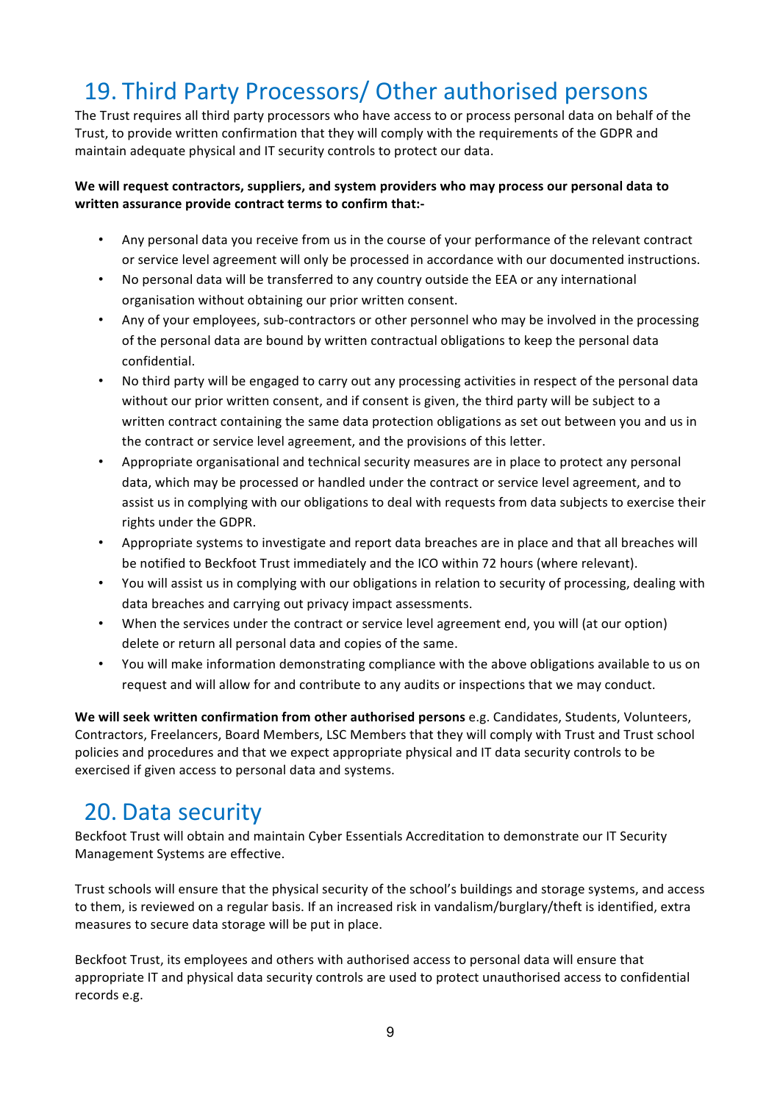# 19. Third Party Processors/ Other authorised persons

The Trust requires all third party processors who have access to or process personal data on behalf of the Trust, to provide written confirmation that they will comply with the requirements of the GDPR and maintain adequate physical and IT security controls to protect our data.

### We will request contractors, suppliers, and system providers who may process our personal data to written assurance provide contract terms to confirm that:-

- Any personal data you receive from us in the course of your performance of the relevant contract or service level agreement will only be processed in accordance with our documented instructions.
- No personal data will be transferred to any country outside the EEA or any international organisation without obtaining our prior written consent.
- Any of your employees, sub-contractors or other personnel who may be involved in the processing of the personal data are bound by written contractual obligations to keep the personal data confidential.
- No third party will be engaged to carry out any processing activities in respect of the personal data without our prior written consent, and if consent is given, the third party will be subject to a written contract containing the same data protection obligations as set out between you and us in the contract or service level agreement, and the provisions of this letter.
- Appropriate organisational and technical security measures are in place to protect any personal data, which may be processed or handled under the contract or service level agreement, and to assist us in complying with our obligations to deal with requests from data subjects to exercise their rights under the GDPR.
- Appropriate systems to investigate and report data breaches are in place and that all breaches will be notified to Beckfoot Trust immediately and the ICO within 72 hours (where relevant).
- You will assist us in complying with our obligations in relation to security of processing, dealing with data breaches and carrying out privacy impact assessments.
- When the services under the contract or service level agreement end, you will (at our option) delete or return all personal data and copies of the same.
- You will make information demonstrating compliance with the above obligations available to us on request and will allow for and contribute to any audits or inspections that we may conduct.

We will seek written confirmation from other authorised persons e.g. Candidates, Students, Volunteers, Contractors, Freelancers, Board Members, LSC Members that they will comply with Trust and Trust school policies and procedures and that we expect appropriate physical and IT data security controls to be exercised if given access to personal data and systems.

### 20. Data security

Beckfoot Trust will obtain and maintain Cyber Essentials Accreditation to demonstrate our IT Security Management Systems are effective.

Trust schools will ensure that the physical security of the school's buildings and storage systems, and access to them, is reviewed on a regular basis. If an increased risk in vandalism/burglary/theft is identified, extra measures to secure data storage will be put in place.

Beckfoot Trust, its employees and others with authorised access to personal data will ensure that appropriate IT and physical data security controls are used to protect unauthorised access to confidential records e.g.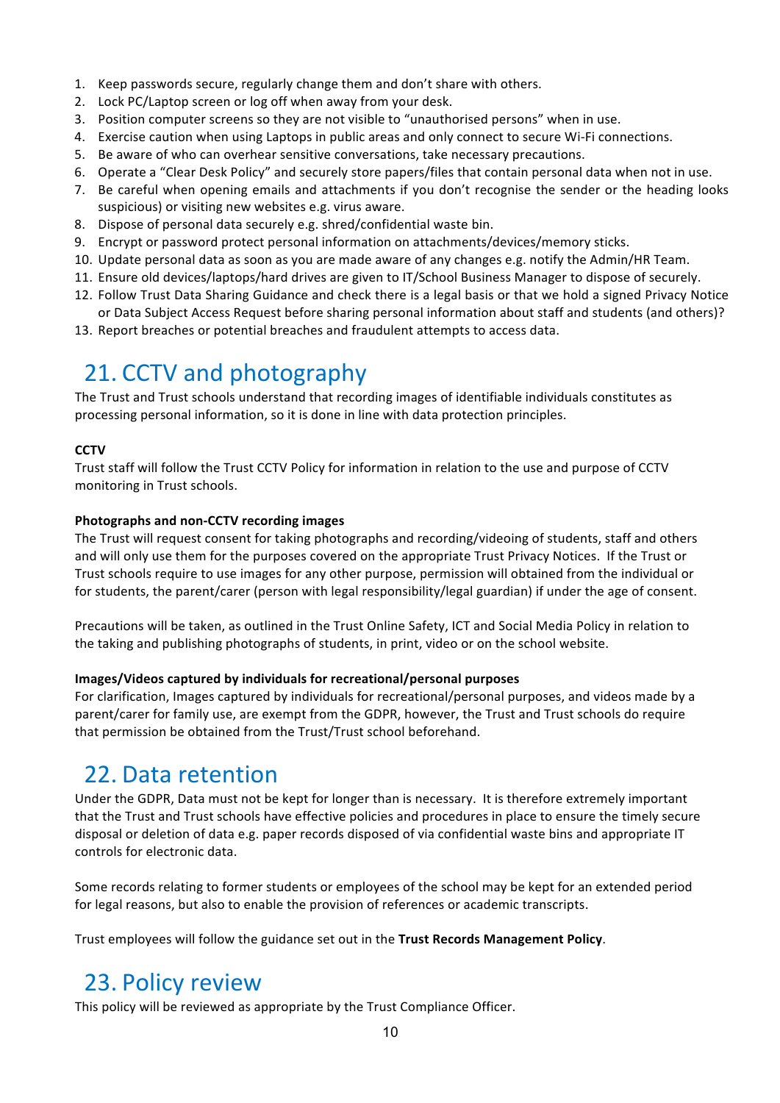- 1. Keep passwords secure, regularly change them and don't share with others.
- 2. Lock PC/Laptop screen or log off when away from your desk.
- 3. Position computer screens so they are not visible to "unauthorised persons" when in use.
- 4. Exercise caution when using Laptops in public areas and only connect to secure Wi-Fi connections.
- 5. Be aware of who can overhear sensitive conversations, take necessary precautions.
- 6. Operate a "Clear Desk Policy" and securely store papers/files that contain personal data when not in use.
- 7. Be careful when opening emails and attachments if you don't recognise the sender or the heading looks suspicious) or visiting new websites e.g. virus aware.
- 8. Dispose of personal data securely e.g. shred/confidential waste bin.
- 9. Encrypt or password protect personal information on attachments/devices/memory sticks.
- 10. Update personal data as soon as you are made aware of any changes e.g. notify the Admin/HR Team.
- 11. Ensure old devices/laptops/hard drives are given to IT/School Business Manager to dispose of securely.
- 12. Follow Trust Data Sharing Guidance and check there is a legal basis or that we hold a signed Privacy Notice or Data Subject Access Request before sharing personal information about staff and students (and others)?
- 13. Report breaches or potential breaches and fraudulent attempts to access data.

### 21. CCTV and photography

The Trust and Trust schools understand that recording images of identifiable individuals constitutes as processing personal information, so it is done in line with data protection principles.

### **CCTV**

Trust staff will follow the Trust CCTV Policy for information in relation to the use and purpose of CCTV monitoring in Trust schools.

### **Photographs and non-CCTV recording images**

The Trust will request consent for taking photographs and recording/videoing of students, staff and others and will only use them for the purposes covered on the appropriate Trust Privacy Notices. If the Trust or Trust schools require to use images for any other purpose, permission will obtained from the individual or for students, the parent/carer (person with legal responsibility/legal guardian) if under the age of consent.

Precautions will be taken, as outlined in the Trust Online Safety, ICT and Social Media Policy in relation to the taking and publishing photographs of students, in print, video or on the school website.

### **Images/Videos captured by individuals for recreational/personal purposes**

For clarification, Images captured by individuals for recreational/personal purposes, and videos made by a parent/carer for family use, are exempt from the GDPR, however, the Trust and Trust schools do require that permission be obtained from the Trust/Trust school beforehand.

### 22. Data retention

Under the GDPR, Data must not be kept for longer than is necessary. It is therefore extremely important that the Trust and Trust schools have effective policies and procedures in place to ensure the timely secure disposal or deletion of data e.g. paper records disposed of via confidential waste bins and appropriate IT controls for electronic data.

Some records relating to former students or employees of the school may be kept for an extended period for legal reasons, but also to enable the provision of references or academic transcripts.

Trust employees will follow the guidance set out in the Trust Records Management Policy.

### 23. Policy review

This policy will be reviewed as appropriate by the Trust Compliance Officer.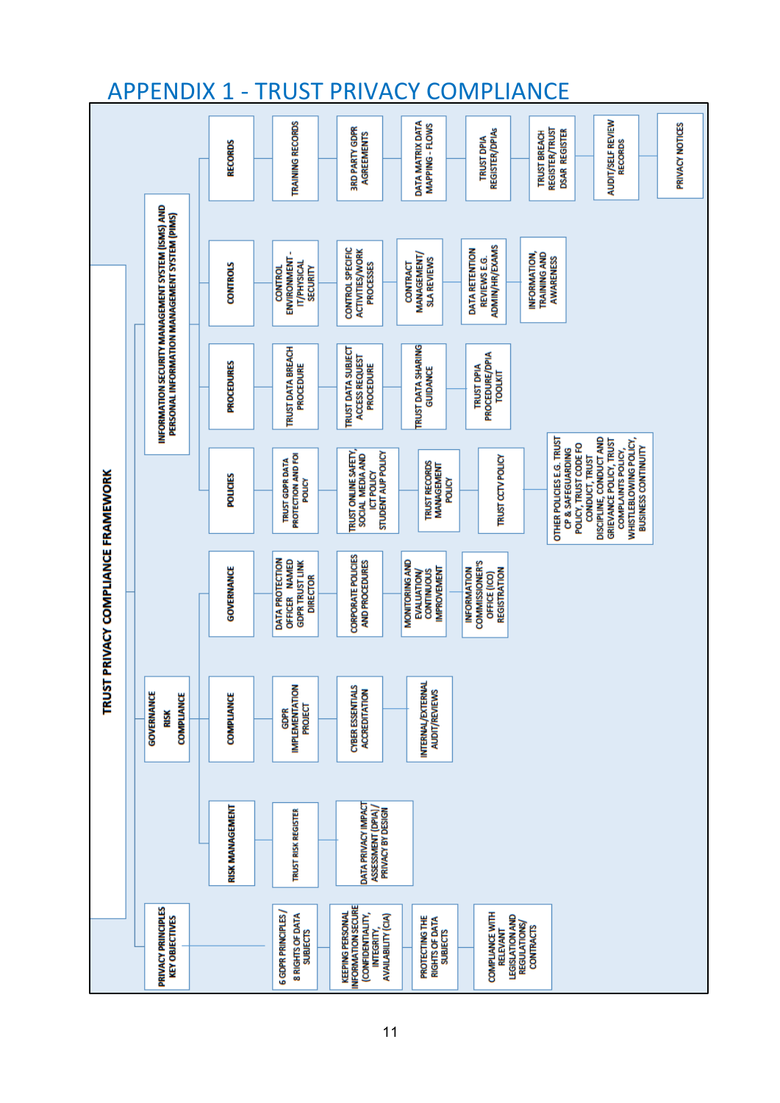

### **APPENDIX 1 - TRUST PRIVACY COMPLIANCE**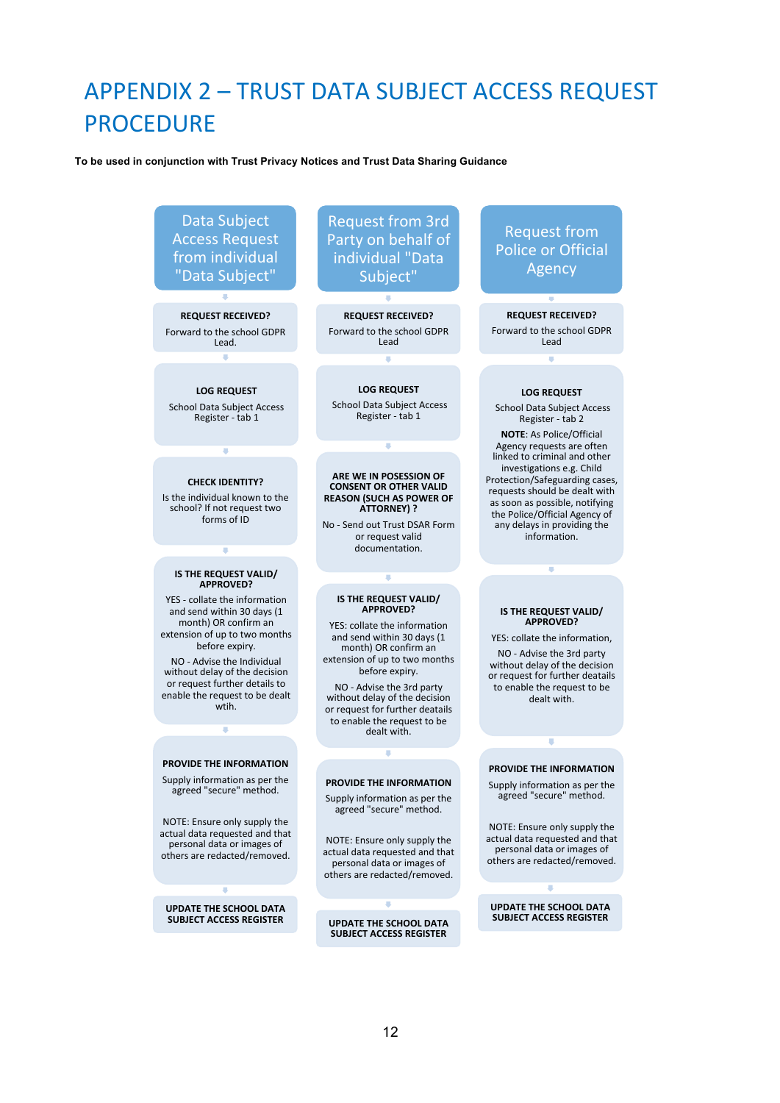# APPENDIX 2 - TRUST DATA SUBJECT ACCESS REQUEST **PROCEDURE**

#### **To be used in conjunction with Trust Privacy Notices and Trust Data Sharing Guidance**

Data Subject **Access Request** from individual "Data Subject" 

### **REQUEST RECEIVED?** Forward to the school GDPR

J.

Lead. 

**LOG REQUEST** 

School Data Subject Access Register - tab 1

ī

#### **CHECK IDENTITY?**

Is the individual known to the school? If not request two forms of ID

#### **IS THE REQUEST VALID/ APPROVED?**

F

YES - collate the information and send within 30 days (1 month) OR confirm an extension of up to two months before expiry.

NO - Advise the Individual without delay of the decision or request further details to enable the request to be dealt wtih. 

#### **PROVIDE THE INFORMATION**

×

Supply information as per the agreed "secure" method.

NOTE: Ensure only supply the actual data requested and that personal data or images of others are redacted/removed.

**UPDATE THE SCHOOL DATA SUBJECT ACCESS REGISTER** 

**Request from 3rd** Party on behalf of individual "Data Subject" 

**REQUEST RECEIVED?** Forward to the school GDPR Lead 

**LOG REQUEST** School Data Subject Access Register - tab 1

T

#### **ARE WE IN POSESSION OF CONSENT OR OTHER VALID REASON (SUCH AS POWER OF ATTORNEY) ?**

No - Send out Trust DSAR Form or request valid documentation. 

#### **IS THE REQUEST VALID/ APPROVED?**

YES: collate the information and send within 30 days (1) month) OR confirm an extension of up to two months before expiry.

NO - Advise the 3rd party without delay of the decision or request for further deatails to enable the request to be dealt with.

#### **PROVIDE THE INFORMATION**

T

Supply information as per the agreed "secure" method.

NOTE: Ensure only supply the actual data requested and that personal data or images of others are redacted/removed.

### **UPDATE THE SCHOOL DATA**

**SUBJECT ACCESS REGISTER** 

### **Request from** Police or Official Agency

**REQUEST RECEIVED?**  Forward to the school GDPR Lead 

#### **LOG REQUEST**

School Data Subject Access Register - tab 2

**NOTE:** As Police/Official Agency requests are often linked to criminal and other investigations e.g. Child Protection/Safeguarding cases, requests should be dealt with as soon as possible, notifying the Police/Official Agency of any delays in providing the information. 

#### **IS THE REQUEST VALID/ APPROVED?**

ı

YES: collate the information. NO - Advise the 3rd party without delay of the decision or request for further deatails to enable the request to be

dealt with. 

#### **PROVIDE THE INFORMATION**

T

Supply information as per the agreed "secure" method.

NOTE: Ensure only supply the actual data requested and that personal data or images of others are redacted/removed.

#### **UPDATE THE SCHOOL DATA SUBJECT ACCESS REGISTER**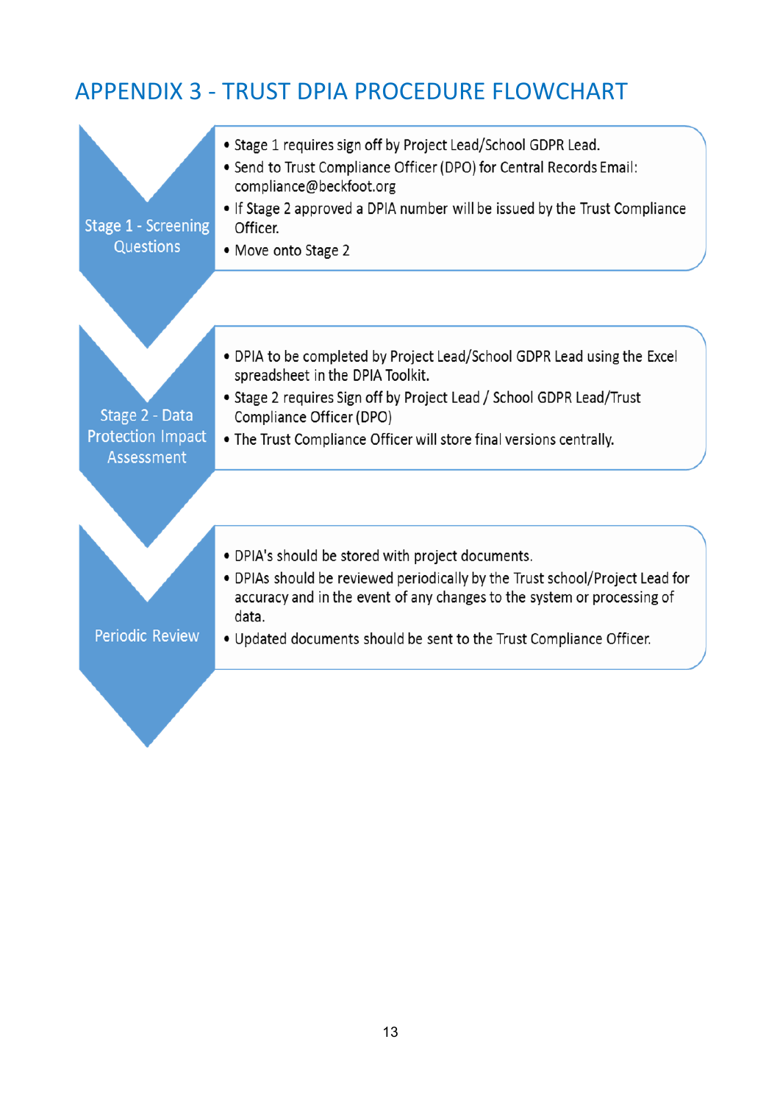# APPENDIX 3 - TRUST DPIA PROCEDURE FLOWCHART

| • Stage 1 requires sign off by Project Lead/School GDPR Lead.                                                                                                                |
|------------------------------------------------------------------------------------------------------------------------------------------------------------------------------|
| • Send to Trust Compliance Officer (DPO) for Central Records Email:<br>compliance@beckfoot.org<br>• If Stage 2 approved a DPIA number will be issued by the Trust Compliance |
| Officer.<br>• Move onto Stage 2                                                                                                                                              |
|                                                                                                                                                                              |
| • DPIA to be completed by Project Lead/School GDPR Lead using the Excel<br>spreadsheet in the DPIA Toolkit.                                                                  |
| • Stage 2 requires Sign off by Project Lead / School GDPR Lead/Trust<br>Compliance Officer (DPO)                                                                             |
| • The Trust Compliance Officer will store final versions centrally.                                                                                                          |
|                                                                                                                                                                              |
| • DPIA's should be stored with project documents.                                                                                                                            |
| • DPIAs should be reviewed periodically by the Trust school/Project Lead for<br>accuracy and in the event of any changes to the system or processing of<br>data.             |
| • Updated documents should be sent to the Trust Compliance Officer.                                                                                                          |
|                                                                                                                                                                              |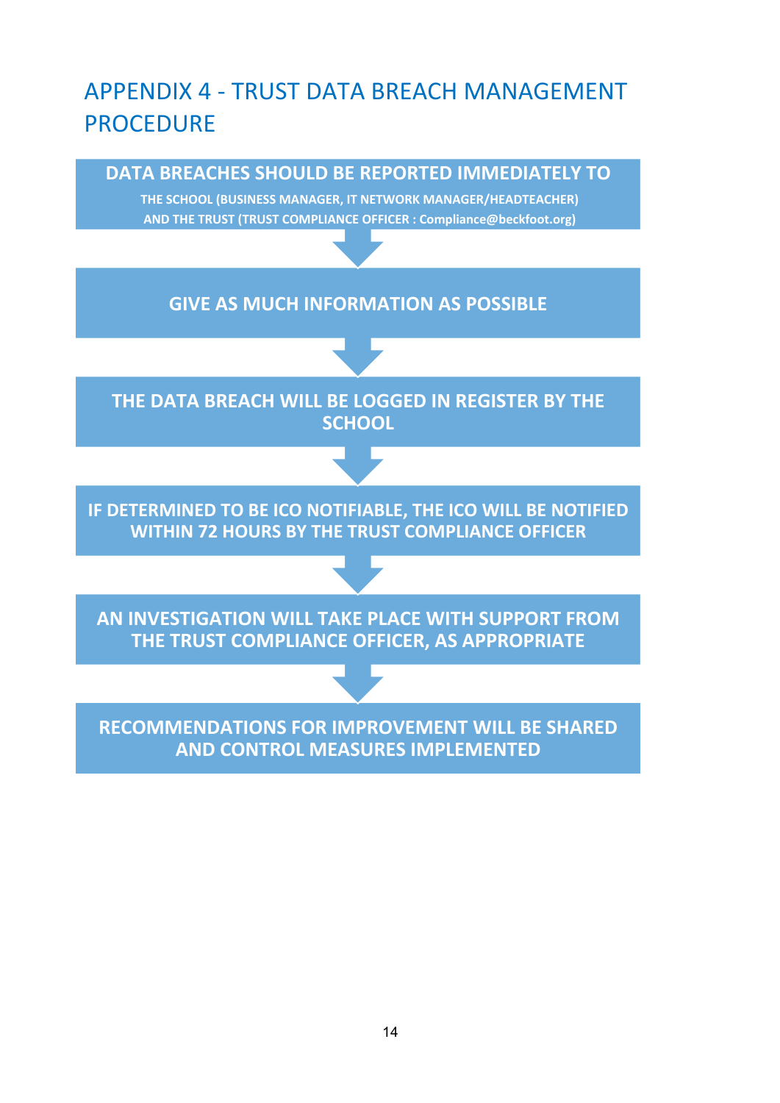# APPENDIX 4 - TRUST DATA BREACH MANAGEMENT PROCEDURE

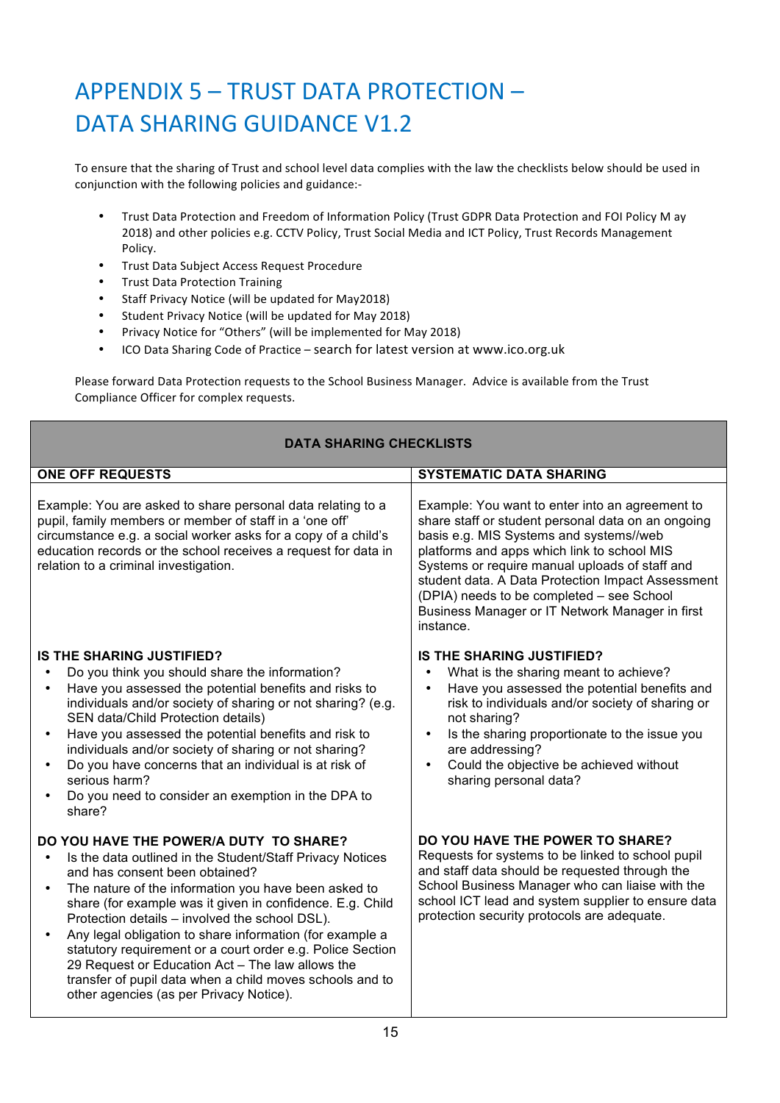# APPENDIX 5 - TRUST DATA PROTECTION -DATA SHARING GUIDANCE V1.2

To ensure that the sharing of Trust and school level data complies with the law the checklists below should be used in conjunction with the following policies and guidance:-

- Trust Data Protection and Freedom of Information Policy (Trust GDPR Data Protection and FOI Policy M ay 2018) and other policies e.g. CCTV Policy, Trust Social Media and ICT Policy, Trust Records Management Policy.
- Trust Data Subject Access Request Procedure
- Trust Data Protection Training
- Staff Privacy Notice (will be updated for May2018)
- Student Privacy Notice (will be updated for May 2018)
- Privacy Notice for "Others" (will be implemented for May 2018)
- ICO Data Sharing Code of Practice search for latest version at www.ico.org.uk

Please forward Data Protection requests to the School Business Manager. Advice is available from the Trust Compliance Officer for complex requests.

| <b>DATA SHARING CHECKLISTS</b>                                                                                                                                                                                                                                                                                                                                                                                                                                                                                                                                                                                 |                                                                                                                                                                                                                                                                                                                                                                                                                     |  |
|----------------------------------------------------------------------------------------------------------------------------------------------------------------------------------------------------------------------------------------------------------------------------------------------------------------------------------------------------------------------------------------------------------------------------------------------------------------------------------------------------------------------------------------------------------------------------------------------------------------|---------------------------------------------------------------------------------------------------------------------------------------------------------------------------------------------------------------------------------------------------------------------------------------------------------------------------------------------------------------------------------------------------------------------|--|
| <b>ONE OFF REQUESTS</b>                                                                                                                                                                                                                                                                                                                                                                                                                                                                                                                                                                                        | <b>SYSTEMATIC DATA SHARING</b>                                                                                                                                                                                                                                                                                                                                                                                      |  |
| Example: You are asked to share personal data relating to a<br>pupil, family members or member of staff in a 'one off'<br>circumstance e.g. a social worker asks for a copy of a child's<br>education records or the school receives a request for data in<br>relation to a criminal investigation.                                                                                                                                                                                                                                                                                                            | Example: You want to enter into an agreement to<br>share staff or student personal data on an ongoing<br>basis e.g. MIS Systems and systems//web<br>platforms and apps which link to school MIS<br>Systems or require manual uploads of staff and<br>student data. A Data Protection Impact Assessment<br>(DPIA) needs to be completed - see School<br>Business Manager or IT Network Manager in first<br>instance. |  |
| <b>IS THE SHARING JUSTIFIED?</b><br>Do you think you should share the information?<br>Have you assessed the potential benefits and risks to<br>$\bullet$<br>individuals and/or society of sharing or not sharing? (e.g.<br>SEN data/Child Protection details)<br>Have you assessed the potential benefits and risk to<br>$\bullet$<br>individuals and/or society of sharing or not sharing?<br>Do you have concerns that an individual is at risk of<br>$\bullet$<br>serious harm?<br>Do you need to consider an exemption in the DPA to<br>share?                                                             | <b>IS THE SHARING JUSTIFIED?</b><br>What is the sharing meant to achieve?<br>$\bullet$<br>Have you assessed the potential benefits and<br>$\bullet$<br>risk to individuals and/or society of sharing or<br>not sharing?<br>Is the sharing proportionate to the issue you<br>$\bullet$<br>are addressing?<br>Could the objective be achieved without<br>$\bullet$<br>sharing personal data?                          |  |
| DO YOU HAVE THE POWER/A DUTY TO SHARE?<br>Is the data outlined in the Student/Staff Privacy Notices<br>and has consent been obtained?<br>The nature of the information you have been asked to<br>$\bullet$<br>share (for example was it given in confidence. E.g. Child<br>Protection details - involved the school DSL).<br>Any legal obligation to share information (for example a<br>statutory requirement or a court order e.g. Police Section<br>29 Request or Education Act - The law allows the<br>transfer of pupil data when a child moves schools and to<br>other agencies (as per Privacy Notice). | DO YOU HAVE THE POWER TO SHARE?<br>Requests for systems to be linked to school pupil<br>and staff data should be requested through the<br>School Business Manager who can liaise with the<br>school ICT lead and system supplier to ensure data<br>protection security protocols are adequate.                                                                                                                      |  |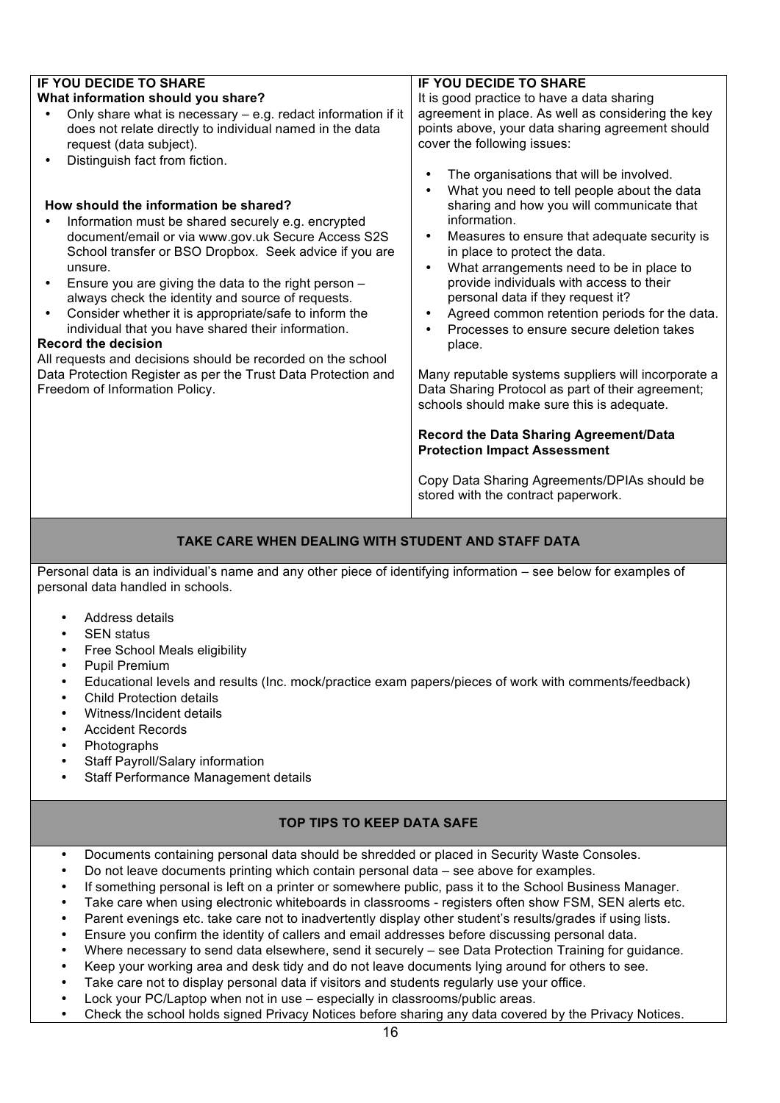| <b>IF YOU DECIDE TO SHARE</b>                                                                                                                                                                                                                                                                                                                                                                                                                                                                                                                                                                                                                      | <b>IF YOU DECIDE TO SHARE</b>                                                                                                                                                                                                                                                                                                                                                                                                                                                                                                                                                                                                                                                                                                                                                                       |  |
|----------------------------------------------------------------------------------------------------------------------------------------------------------------------------------------------------------------------------------------------------------------------------------------------------------------------------------------------------------------------------------------------------------------------------------------------------------------------------------------------------------------------------------------------------------------------------------------------------------------------------------------------------|-----------------------------------------------------------------------------------------------------------------------------------------------------------------------------------------------------------------------------------------------------------------------------------------------------------------------------------------------------------------------------------------------------------------------------------------------------------------------------------------------------------------------------------------------------------------------------------------------------------------------------------------------------------------------------------------------------------------------------------------------------------------------------------------------------|--|
| What information should you share?                                                                                                                                                                                                                                                                                                                                                                                                                                                                                                                                                                                                                 | It is good practice to have a data sharing                                                                                                                                                                                                                                                                                                                                                                                                                                                                                                                                                                                                                                                                                                                                                          |  |
| Only share what is necessary - e.g. redact information if it<br>does not relate directly to individual named in the data<br>request (data subject).<br>Distinguish fact from fiction.                                                                                                                                                                                                                                                                                                                                                                                                                                                              | agreement in place. As well as considering the key<br>points above, your data sharing agreement should<br>cover the following issues:                                                                                                                                                                                                                                                                                                                                                                                                                                                                                                                                                                                                                                                               |  |
| How should the information be shared?<br>Information must be shared securely e.g. encrypted<br>document/email or via www.gov.uk Secure Access S2S<br>School transfer or BSO Dropbox. Seek advice if you are<br>unsure.<br>Ensure you are giving the data to the right person -<br>always check the identity and source of requests.<br>Consider whether it is appropriate/safe to inform the<br>individual that you have shared their information.<br><b>Record the decision</b><br>All requests and decisions should be recorded on the school<br>Data Protection Register as per the Trust Data Protection and<br>Freedom of Information Policy. | The organisations that will be involved.<br>$\bullet$<br>What you need to tell people about the data<br>$\bullet$<br>sharing and how you will communicate that<br>information.<br>Measures to ensure that adequate security is<br>$\bullet$<br>in place to protect the data.<br>What arrangements need to be in place to<br>$\bullet$<br>provide individuals with access to their<br>personal data if they request it?<br>Agreed common retention periods for the data.<br>$\bullet$<br>Processes to ensure secure deletion takes<br>$\bullet$<br>place.<br>Many reputable systems suppliers will incorporate a<br>Data Sharing Protocol as part of their agreement;<br>schools should make sure this is adequate.<br>Record the Data Sharing Agreement/Data<br><b>Protection Impact Assessment</b> |  |
|                                                                                                                                                                                                                                                                                                                                                                                                                                                                                                                                                                                                                                                    | Copy Data Sharing Agreements/DPIAs should be<br>stored with the contract paperwork.                                                                                                                                                                                                                                                                                                                                                                                                                                                                                                                                                                                                                                                                                                                 |  |

### **TAKE CARE WHEN DEALING WITH STUDENT AND STAFF DATA**

Personal data is an individual's name and any other piece of identifying information – see below for examples of personal data handled in schools.

- Address details
- **SEN** status
- Free School Meals eligibility
- Pupil Premium
- Educational levels and results (Inc. mock/practice exam papers/pieces of work with comments/feedback)
- Child Protection details
- Witness/Incident details
- Accident Records
- Photographs
- Staff Payroll/Salary information
- Staff Performance Management details

### **TOP TIPS TO KEEP DATA SAFE**

- Documents containing personal data should be shredded or placed in Security Waste Consoles.
- Do not leave documents printing which contain personal data see above for examples.
- If something personal is left on a printer or somewhere public, pass it to the School Business Manager.
- Take care when using electronic whiteboards in classrooms registers often show FSM, SEN alerts etc.
- Parent evenings etc. take care not to inadvertently display other student's results/grades if using lists.
- Ensure you confirm the identity of callers and email addresses before discussing personal data.
- Where necessary to send data elsewhere, send it securely see Data Protection Training for guidance.
- Keep your working area and desk tidy and do not leave documents lying around for others to see.
- Take care not to display personal data if visitors and students regularly use your office.
- Lock your PC/Laptop when not in use especially in classrooms/public areas.
- Check the school holds signed Privacy Notices before sharing any data covered by the Privacy Notices.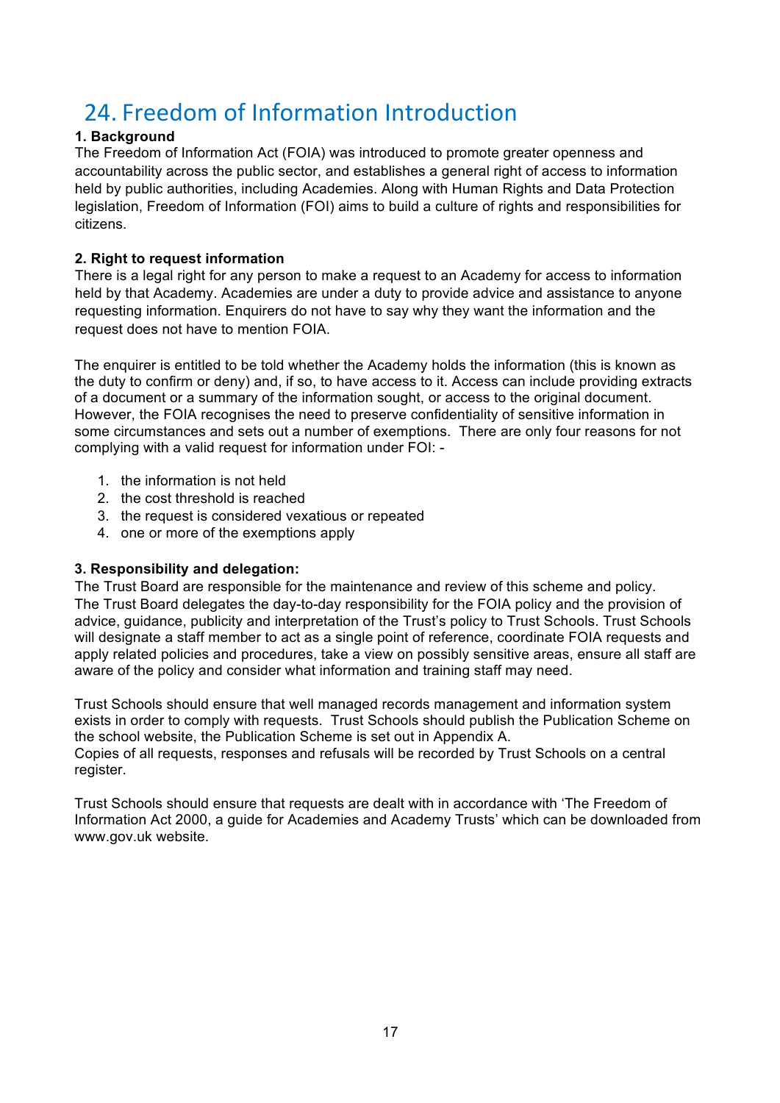### 24. Freedom of Information Introduction

### **1. Background**

The Freedom of Information Act (FOIA) was introduced to promote greater openness and accountability across the public sector, and establishes a general right of access to information held by public authorities, including Academies. Along with Human Rights and Data Protection legislation, Freedom of Information (FOI) aims to build a culture of rights and responsibilities for citizens.

### **2. Right to request information**

There is a legal right for any person to make a request to an Academy for access to information held by that Academy. Academies are under a duty to provide advice and assistance to anyone requesting information. Enquirers do not have to say why they want the information and the request does not have to mention FOIA.

The enquirer is entitled to be told whether the Academy holds the information (this is known as the duty to confirm or deny) and, if so, to have access to it. Access can include providing extracts of a document or a summary of the information sought, or access to the original document. However, the FOIA recognises the need to preserve confidentiality of sensitive information in some circumstances and sets out a number of exemptions. There are only four reasons for not complying with a valid request for information under FOI: -

- 1. the information is not held
- 2. the cost threshold is reached
- 3. the request is considered vexatious or repeated
- 4. one or more of the exemptions apply

### **3. Responsibility and delegation:**

The Trust Board are responsible for the maintenance and review of this scheme and policy. The Trust Board delegates the day-to-day responsibility for the FOIA policy and the provision of advice, guidance, publicity and interpretation of the Trust's policy to Trust Schools. Trust Schools will designate a staff member to act as a single point of reference, coordinate FOIA requests and apply related policies and procedures, take a view on possibly sensitive areas, ensure all staff are aware of the policy and consider what information and training staff may need.

Trust Schools should ensure that well managed records management and information system exists in order to comply with requests. Trust Schools should publish the Publication Scheme on the school website, the Publication Scheme is set out in Appendix A. Copies of all requests, responses and refusals will be recorded by Trust Schools on a central register.

Trust Schools should ensure that requests are dealt with in accordance with 'The Freedom of Information Act 2000, a guide for Academies and Academy Trusts' which can be downloaded from www.gov.uk website.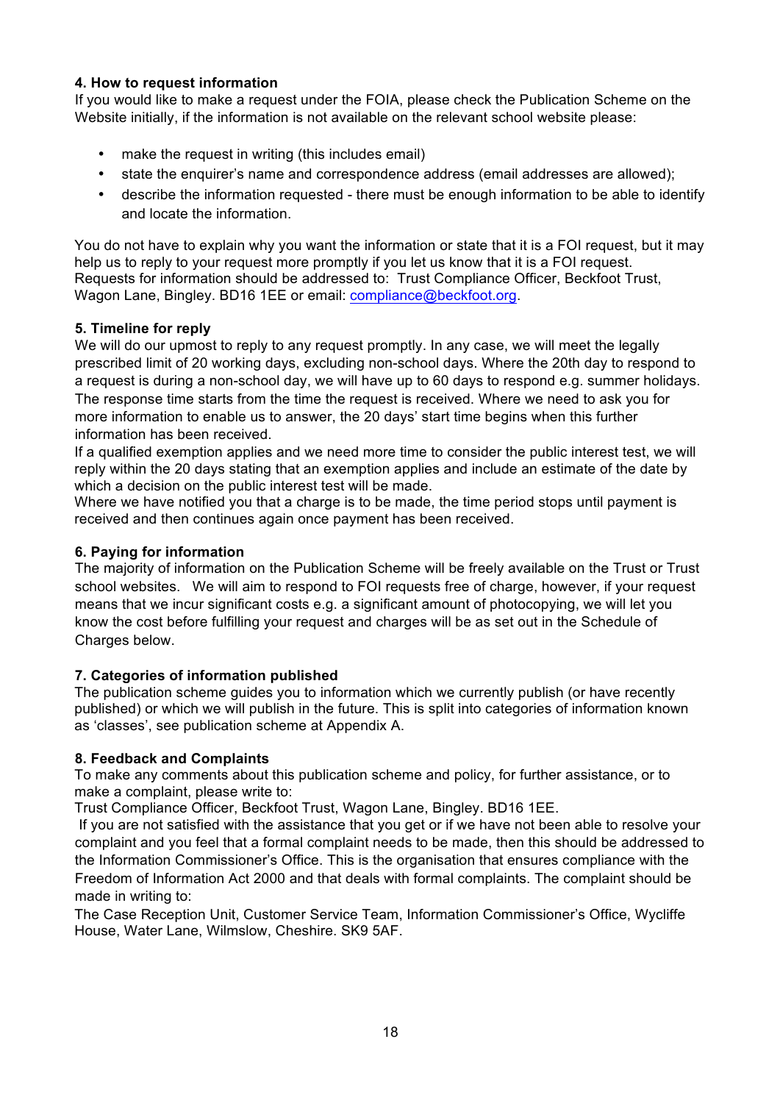### **4. How to request information**

If you would like to make a request under the FOIA, please check the Publication Scheme on the Website initially, if the information is not available on the relevant school website please:

- make the request in writing (this includes email)
- state the enquirer's name and correspondence address (email addresses are allowed);
- describe the information requested there must be enough information to be able to identify and locate the information.

You do not have to explain why you want the information or state that it is a FOI request, but it may help us to reply to your request more promptly if you let us know that it is a FOI request. Requests for information should be addressed to: Trust Compliance Officer, Beckfoot Trust, Wagon Lane, Bingley. BD16 1EE or email: compliance@beckfoot.org.

### **5. Timeline for reply**

We will do our upmost to reply to any request promptly. In any case, we will meet the legally prescribed limit of 20 working days, excluding non-school days. Where the 20th day to respond to a request is during a non-school day, we will have up to 60 days to respond e.g. summer holidays. The response time starts from the time the request is received. Where we need to ask you for more information to enable us to answer, the 20 days' start time begins when this further information has been received.

If a qualified exemption applies and we need more time to consider the public interest test, we will reply within the 20 days stating that an exemption applies and include an estimate of the date by which a decision on the public interest test will be made.

Where we have notified you that a charge is to be made, the time period stops until payment is received and then continues again once payment has been received.

### **6. Paying for information**

The majority of information on the Publication Scheme will be freely available on the Trust or Trust school websites. We will aim to respond to FOI requests free of charge, however, if your request means that we incur significant costs e.g. a significant amount of photocopying, we will let you know the cost before fulfilling your request and charges will be as set out in the Schedule of Charges below.

### **7. Categories of information published**

The publication scheme guides you to information which we currently publish (or have recently published) or which we will publish in the future. This is split into categories of information known as 'classes', see publication scheme at Appendix A.

### **8. Feedback and Complaints**

To make any comments about this publication scheme and policy, for further assistance, or to make a complaint, please write to:

Trust Compliance Officer, Beckfoot Trust, Wagon Lane, Bingley. BD16 1EE.

If you are not satisfied with the assistance that you get or if we have not been able to resolve your complaint and you feel that a formal complaint needs to be made, then this should be addressed to the Information Commissioner's Office. This is the organisation that ensures compliance with the Freedom of Information Act 2000 and that deals with formal complaints. The complaint should be made in writing to:

The Case Reception Unit, Customer Service Team, Information Commissioner's Office, Wycliffe House, Water Lane, Wilmslow, Cheshire. SK9 5AF.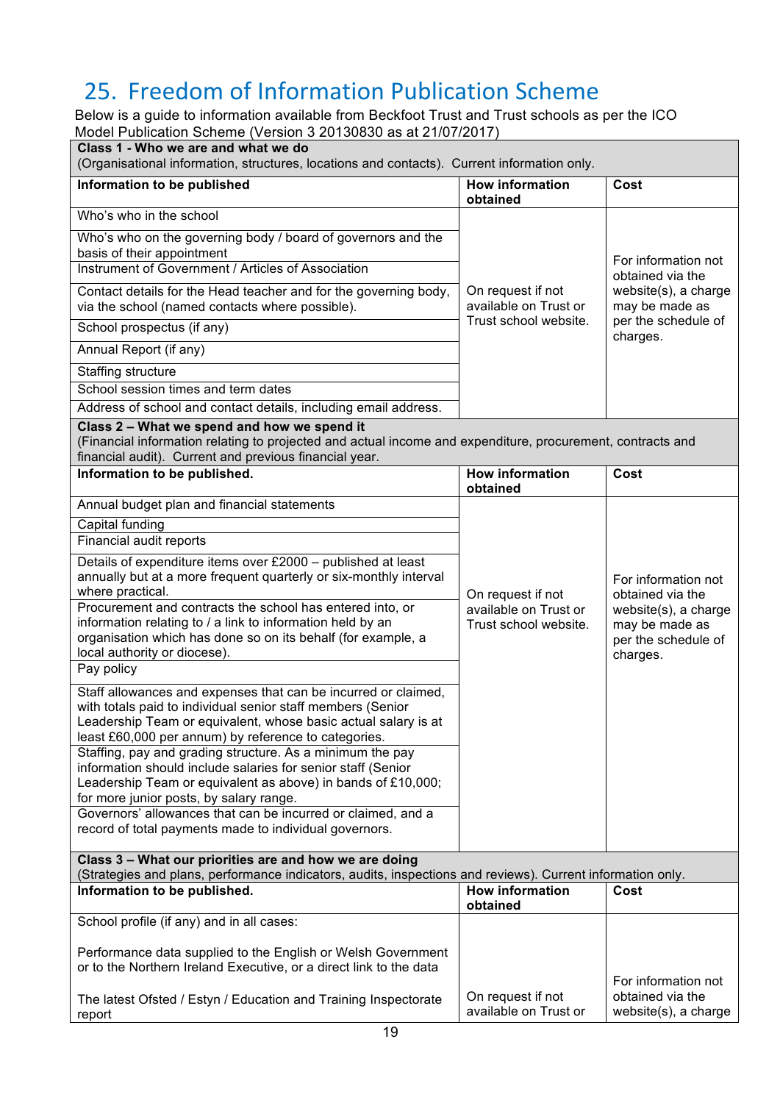# 25. Freedom of Information Publication Scheme

Below is a guide to information available from Beckfoot Trust and Trust schools as per the ICO Model Publication Scheme (Version 3 20130830 as at 21/07/2017)

| (Organisational information, structures, locations and contacts). Current information only.                                                                                                                                                             |                                                |                                                                           |
|---------------------------------------------------------------------------------------------------------------------------------------------------------------------------------------------------------------------------------------------------------|------------------------------------------------|---------------------------------------------------------------------------|
| Information to be published                                                                                                                                                                                                                             | <b>How information</b><br>obtained             | Cost                                                                      |
| Who's who in the school                                                                                                                                                                                                                                 |                                                |                                                                           |
| Who's who on the governing body / board of governors and the<br>basis of their appointment<br>Instrument of Government / Articles of Association                                                                                                        |                                                | For information not                                                       |
| Contact details for the Head teacher and for the governing body,<br>via the school (named contacts where possible).                                                                                                                                     | On request if not<br>available on Trust or     | obtained via the<br>website(s), a charge<br>may be made as                |
| School prospectus (if any)                                                                                                                                                                                                                              | Trust school website.                          | per the schedule of<br>charges.                                           |
| Annual Report (if any)                                                                                                                                                                                                                                  |                                                |                                                                           |
| Staffing structure                                                                                                                                                                                                                                      |                                                |                                                                           |
| School session times and term dates                                                                                                                                                                                                                     |                                                |                                                                           |
| Address of school and contact details, including email address.                                                                                                                                                                                         |                                                |                                                                           |
| Class 2 - What we spend and how we spend it<br>(Financial information relating to projected and actual income and expenditure, procurement, contracts and<br>financial audit). Current and previous financial year.                                     |                                                |                                                                           |
| Information to be published.                                                                                                                                                                                                                            | <b>How information</b><br>obtained             | Cost                                                                      |
| Annual budget plan and financial statements                                                                                                                                                                                                             |                                                |                                                                           |
| Capital funding                                                                                                                                                                                                                                         |                                                |                                                                           |
| Financial audit reports                                                                                                                                                                                                                                 |                                                |                                                                           |
| Details of expenditure items over £2000 - published at least<br>annually but at a more frequent quarterly or six-monthly interval<br>where practical.                                                                                                   | On request if not                              | For information not<br>obtained via the                                   |
| Procurement and contracts the school has entered into, or<br>information relating to / a link to information held by an<br>organisation which has done so on its behalf (for example, a<br>local authority or diocese).                                 | available on Trust or<br>Trust school website. | website(s), a charge<br>may be made as<br>per the schedule of<br>charges. |
| Pay policy                                                                                                                                                                                                                                              |                                                |                                                                           |
| Staff allowances and expenses that can be incurred or claimed,<br>with totals paid to individual senior staff members (Senior<br>Leadership Team or equivalent, whose basic actual salary is at<br>least £60,000 per annum) by reference to categories. |                                                |                                                                           |
| Staffing, pay and grading structure. As a minimum the pay<br>information should include salaries for senior staff (Senior<br>Leadership Team or equivalent as above) in bands of £10,000;<br>for more junior posts, by salary range.                    |                                                |                                                                           |
| Governors' allowances that can be incurred or claimed, and a<br>record of total payments made to individual governors.                                                                                                                                  |                                                |                                                                           |
| Class 3 - What our priorities are and how we are doing<br>(Strategies and plans, performance indicators, audits, inspections and reviews). Current information only.                                                                                    |                                                |                                                                           |
| Information to be published.                                                                                                                                                                                                                            | <b>How information</b><br>obtained             | Cost                                                                      |
|                                                                                                                                                                                                                                                         |                                                |                                                                           |
| School profile (if any) and in all cases:                                                                                                                                                                                                               |                                                |                                                                           |
| Performance data supplied to the English or Welsh Government<br>or to the Northern Ireland Executive, or a direct link to the data                                                                                                                      | On request if not                              | For information not<br>obtained via the                                   |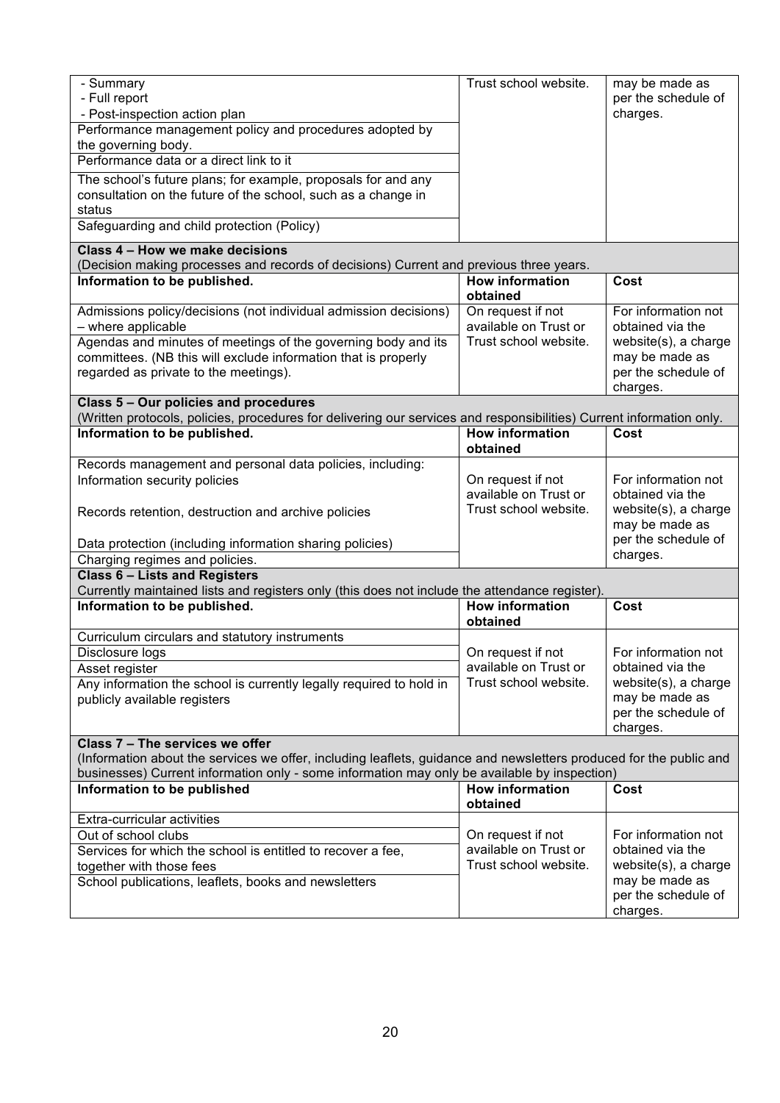| - Summary<br>- Full report<br>- Post-inspection action plan<br>Performance management policy and procedures adopted by<br>the governing body.<br>Performance data or a direct link to it<br>The school's future plans; for example, proposals for and any<br>consultation on the future of the school, such as a change in<br>status<br>Safeguarding and child protection (Policy) | Trust school website.                                               | may be made as<br>per the schedule of<br>charges.                                                                    |
|------------------------------------------------------------------------------------------------------------------------------------------------------------------------------------------------------------------------------------------------------------------------------------------------------------------------------------------------------------------------------------|---------------------------------------------------------------------|----------------------------------------------------------------------------------------------------------------------|
| Class 4 - How we make decisions                                                                                                                                                                                                                                                                                                                                                    |                                                                     |                                                                                                                      |
| (Decision making processes and records of decisions) Current and previous three years.                                                                                                                                                                                                                                                                                             |                                                                     |                                                                                                                      |
| Information to be published.                                                                                                                                                                                                                                                                                                                                                       | <b>How information</b><br>obtained                                  | Cost                                                                                                                 |
| Admissions policy/decisions (not individual admission decisions)<br>- where applicable<br>Agendas and minutes of meetings of the governing body and its<br>committees. (NB this will exclude information that is properly<br>regarded as private to the meetings).                                                                                                                 | On request if not<br>available on Trust or<br>Trust school website. | For information not<br>obtained via the<br>website(s), a charge<br>may be made as<br>per the schedule of<br>charges. |
| Class 5 - Our policies and procedures<br>(Written protocols, policies, procedures for delivering our services and responsibilities) Current information only.                                                                                                                                                                                                                      |                                                                     |                                                                                                                      |
| Information to be published.                                                                                                                                                                                                                                                                                                                                                       | <b>How information</b><br>obtained                                  | Cost                                                                                                                 |
| Records management and personal data policies, including:                                                                                                                                                                                                                                                                                                                          |                                                                     |                                                                                                                      |
| Information security policies<br>Records retention, destruction and archive policies<br>Data protection (including information sharing policies)<br>Charging regimes and policies.                                                                                                                                                                                                 | On request if not<br>available on Trust or<br>Trust school website. | For information not<br>obtained via the<br>website(s), a charge<br>may be made as<br>per the schedule of<br>charges. |
| <b>Class 6 - Lists and Registers</b>                                                                                                                                                                                                                                                                                                                                               |                                                                     |                                                                                                                      |
| Currently maintained lists and registers only (this does not include the attendance register).                                                                                                                                                                                                                                                                                     |                                                                     |                                                                                                                      |
| Information to be published.                                                                                                                                                                                                                                                                                                                                                       | <b>How information</b><br>obtained                                  | <b>Cost</b>                                                                                                          |
| Curriculum circulars and statutory instruments                                                                                                                                                                                                                                                                                                                                     |                                                                     |                                                                                                                      |
| Disclosure logs<br>Asset register<br>Any information the school is currently legally required to hold in<br>publicly available registers                                                                                                                                                                                                                                           | On request if not<br>available on Trust or<br>Trust school website. | For information not<br>obtained via the<br>website(s), a charge<br>may be made as<br>per the schedule of<br>charges. |
| Class 7 - The services we offer<br>(Information about the services we offer, including leaflets, guidance and newsletters produced for the public and<br>businesses) Current information only - some information may only be available by inspection)                                                                                                                              |                                                                     |                                                                                                                      |
| Information to be published                                                                                                                                                                                                                                                                                                                                                        | <b>How information</b><br>obtained                                  | Cost                                                                                                                 |
| Extra-curricular activities<br>Out of school clubs<br>Services for which the school is entitled to recover a fee,<br>together with those fees<br>School publications, leaflets, books and newsletters                                                                                                                                                                              | On request if not<br>available on Trust or<br>Trust school website. | For information not<br>obtained via the<br>website(s), a charge<br>may be made as<br>per the schedule of<br>charges. |